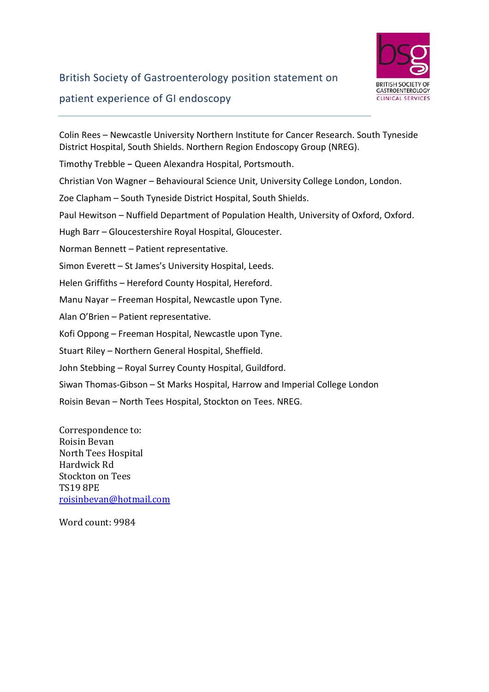

# British Society of Gastroenterology position statement on patient experience of GI endoscopy

Colin Rees – Newcastle University Northern Institute for Cancer Research. South Tyneside District Hospital, South Shields. Northern Region Endoscopy Group (NREG). Timothy Trebble **–** Queen Alexandra Hospital, Portsmouth. Christian Von Wagner – Behavioural Science Unit, University College London, London. Zoe Clapham – South Tyneside District Hospital, South Shields. Paul Hewitson – Nuffield Department of Population Health, University of Oxford, Oxford. Hugh Barr – Gloucestershire Royal Hospital, Gloucester. Norman Bennett – Patient representative. Simon Everett – St James's University Hospital, Leeds. Helen Griffiths – Hereford County Hospital, Hereford. Manu Nayar – Freeman Hospital, Newcastle upon Tyne. Alan O'Brien – Patient representative. Kofi Oppong – Freeman Hospital, Newcastle upon Tyne. Stuart Riley – Northern General Hospital, Sheffield. John Stebbing – Royal Surrey County Hospital, Guildford. Siwan Thomas-Gibson – St Marks Hospital, Harrow and Imperial College London Roisin Bevan – North Tees Hospital, Stockton on Tees. NREG.

Correspondence to: Roisin Bevan North Tees Hospital Hardwick Rd Stockton on Tees TS19 8PE [roisinbevan@hotmail.com](mailto:roisinbevan@hotmail.com)

Word count: 9984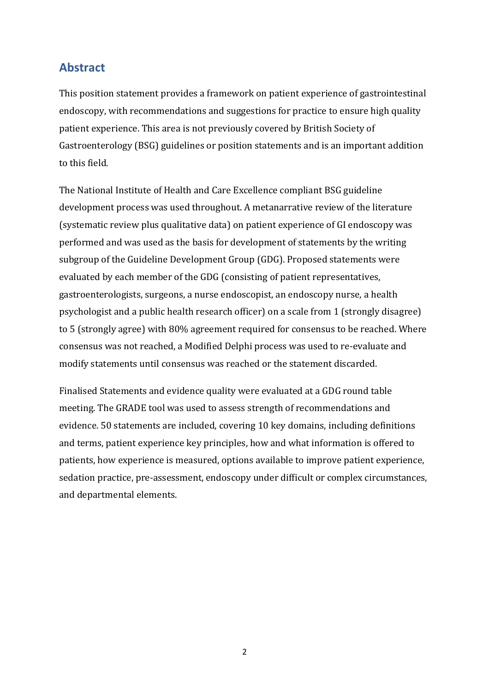#### **Abstract**

This position statement provides a framework on patient experience of gastrointestinal endoscopy, with recommendations and suggestions for practice to ensure high quality patient experience. This area is not previously covered by British Society of Gastroenterology (BSG) guidelines or position statements and is an important addition to this field.

The National Institute of Health and Care Excellence compliant BSG guideline development process was used throughout. A metanarrative review of the literature (systematic review plus qualitative data) on patient experience of GI endoscopy was performed and was used as the basis for development of statements by the writing subgroup of the Guideline Development Group (GDG). Proposed statements were evaluated by each member of the GDG (consisting of patient representatives, gastroenterologists, surgeons, a nurse endoscopist, an endoscopy nurse, a health psychologist and a public health research officer) on a scale from 1 (strongly disagree) to 5 (strongly agree) with 80% agreement required for consensus to be reached. Where consensus was not reached, a Modified Delphi process was used to re-evaluate and modify statements until consensus was reached or the statement discarded.

Finalised Statements and evidence quality were evaluated at a GDG round table meeting. The GRADE tool was used to assess strength of recommendations and evidence. 50 statements are included, covering 10 key domains, including definitions and terms, patient experience key principles, how and what information is offered to patients, how experience is measured, options available to improve patient experience, sedation practice, pre-assessment, endoscopy under difficult or complex circumstances, and departmental elements.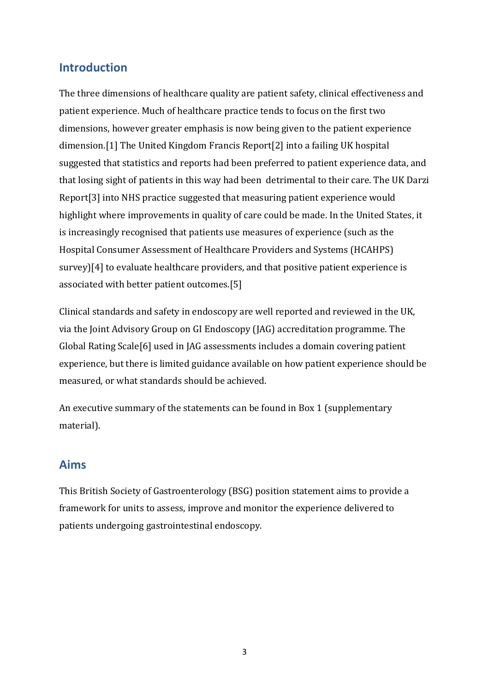#### **Introduction**

The three dimensions of healthcare quality are patient safety, clinical effectiveness and patient experience. Much of healthcare practice tends to focus on the first two dimensions, however greater emphasis is now being given to the patient experience dimension.[\[1\]](#page-38-0) The United Kingdom Francis Report[\[2\]](#page-38-1) into a failing UK hospital suggested that statistics and reports had been preferred to patient experience data, and that losing sight of patients in this way had been detrimental to their care. The UK Darzi Report[\[3\]](#page-38-2) into NHS practice suggested that measuring patient experience would highlight where improvements in quality of care could be made. In the United States, it is increasingly recognised that patients use measures of experience (such as the Hospital Consumer Assessment of Healthcare Providers and Systems (HCAHPS) survey)[\[4\]](#page-38-3) to evaluate healthcare providers, and that positive patient experience is associated with better patient outcomes.[\[5\]](#page-38-4)

Clinical standards and safety in endoscopy are well reported and reviewed in the UK, via the Joint Advisory Group on GI Endoscopy (JAG) accreditation programme. The Global Rating Scale[\[6\]](#page-38-5) used in JAG assessments includes a domain covering patient experience, but there is limited guidance available on how patient experience should be measured, or what standards should be achieved.

An executive summary of the statements can be found in Box 1 (supplementary material).

#### **Aims**

This British Society of Gastroenterology (BSG) position statement aims to provide a framework for units to assess, improve and monitor the experience delivered to patients undergoing gastrointestinal endoscopy.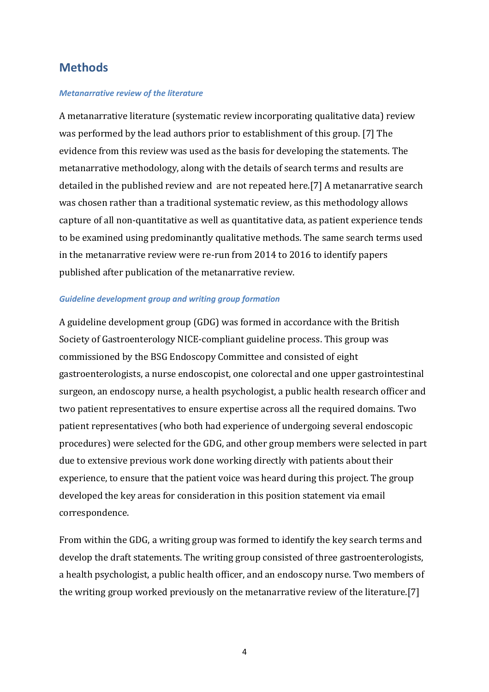#### **Methods**

#### *Metanarrative review of the literature*

A metanarrative literature (systematic review incorporating qualitative data) review was performed by the lead authors prior to establishment of this group. [\[7\]](#page-38-6) The evidence from this review was used as the basis for developing the statements. The metanarrative methodology, along with the details of search terms and results are detailed in the published review and are not repeated here.[\[7\]](#page-38-6) A metanarrative search was chosen rather than a traditional systematic review, as this methodology allows capture of all non-quantitative as well as quantitative data, as patient experience tends to be examined using predominantly qualitative methods. The same search terms used in the metanarrative review were re-run from 2014 to 2016 to identify papers published after publication of the metanarrative review.

#### *Guideline development group and writing group formation*

A guideline development group (GDG) was formed in accordance with the British Society of Gastroenterology NICE-compliant guideline process. This group was commissioned by the BSG Endoscopy Committee and consisted of eight gastroenterologists, a nurse endoscopist, one colorectal and one upper gastrointestinal surgeon, an endoscopy nurse, a health psychologist, a public health research officer and two patient representatives to ensure expertise across all the required domains. Two patient representatives (who both had experience of undergoing several endoscopic procedures) were selected for the GDG, and other group members were selected in part due to extensive previous work done working directly with patients about their experience, to ensure that the patient voice was heard during this project. The group developed the key areas for consideration in this position statement via email correspondence.

From within the GDG, a writing group was formed to identify the key search terms and develop the draft statements. The writing group consisted of three gastroenterologists, a health psychologist, a public health officer, and an endoscopy nurse. Two members of the writing group worked previously on the metanarrative review of the literature.[\[7\]](#page-38-6)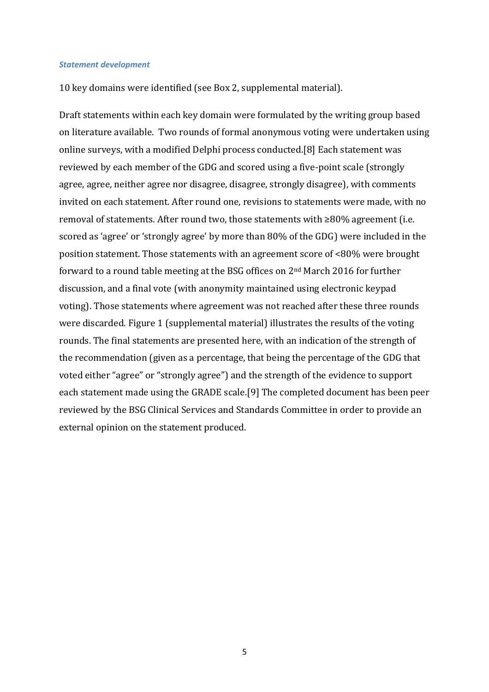#### *Statement development*

10 key domains were identified (see Box 2, supplemental material).

Draft statements within each key domain were formulated by the writing group based on literature available. Two rounds of formal anonymous voting were undertaken using online surveys, with a modified Delphi process conducted.[\[8\]](#page-38-7) Each statement was reviewed by each member of the GDG and scored using a five-point scale (strongly agree, agree, neither agree nor disagree, disagree, strongly disagree), with comments invited on each statement. After round one, revisions to statements were made, with no removal of statements. After round two, those statements with ≥80% agreement (i.e. scored as 'agree' or 'strongly agree' by more than 80% of the GDG) were included in the position statement. Those statements with an agreement score of <80% were brought forward to a round table meeting at the BSG offices on 2nd March 2016 for further discussion, and a final vote (with anonymity maintained using electronic keypad voting). Those statements where agreement was not reached after these three rounds were discarded. Figure 1 (supplemental material) illustrates the results of the voting rounds. The final statements are presented here, with an indication of the strength of the recommendation (given as a percentage, that being the percentage of the GDG that voted either "agree" or "strongly agree") and the strength of the evidence to support each statement made using the GRADE scale.[\[9\]](#page-38-8) The completed document has been peer reviewed by the BSG Clinical Services and Standards Committee in order to provide an external opinion on the statement produced.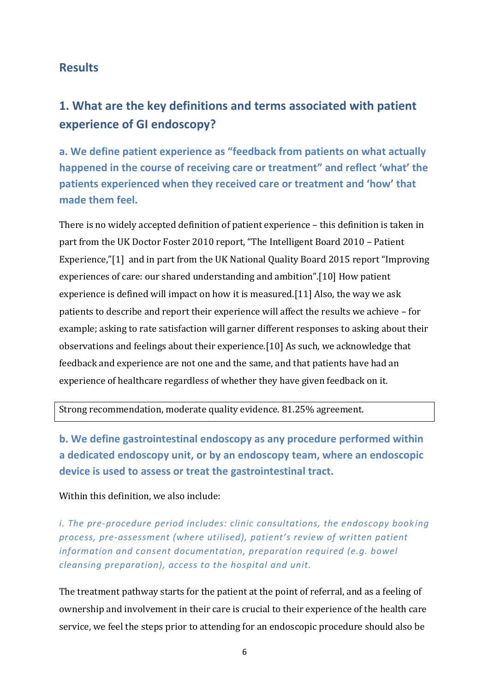#### **Results**

## **1. What are the key definitions and terms associated with patient experience of GI endoscopy?**

**a. We define patient experience as "feedback from patients on what actually happened in the course of receiving care or treatment" and reflect 'what' the patients experienced when they received care or treatment and 'how' that made them feel.** 

There is no widely accepted definition of patient experience – this definition is taken in part from the UK Doctor Foster 2010 report, "The Intelligent Board 2010 – Patient Experience,"[\[1\]](#page-38-0) and in part from the UK National Quality Board 2015 report "Improving experiences of care: our shared understanding and ambition".[\[10\]](#page-38-9) How patient experience is defined will impact on how it is measured.[\[11\]](#page-38-10) Also, the way we ask patients to describe and report their experience will affect the results we achieve – for example; asking to rate satisfaction will garner different responses to asking about their observations and feelings about their experience.[\[10\]](#page-38-9) As such, we acknowledge that feedback and experience are not one and the same, and that patients have had an experience of healthcare regardless of whether they have given feedback on it.

Strong recommendation, moderate quality evidence. 81.25% agreement.

**b. We define gastrointestinal endoscopy as any procedure performed within a dedicated endoscopy unit, or by an endoscopy team, where an endoscopic device is used to assess or treat the gastrointestinal tract.** 

#### Within this definition, we also include:

*i. The pre-procedure period includes: clinic consultations, the endoscopy book ing process, pre-assessment (where utilised), patient's review of written patient information and consent documentation, preparation required (e.g. bowel cleansing preparation), access to the hospital and unit.*

The treatment pathway starts for the patient at the point of referral, and as a feeling of ownership and involvement in their care is crucial to their experience of the health care service, we feel the steps prior to attending for an endoscopic procedure should also be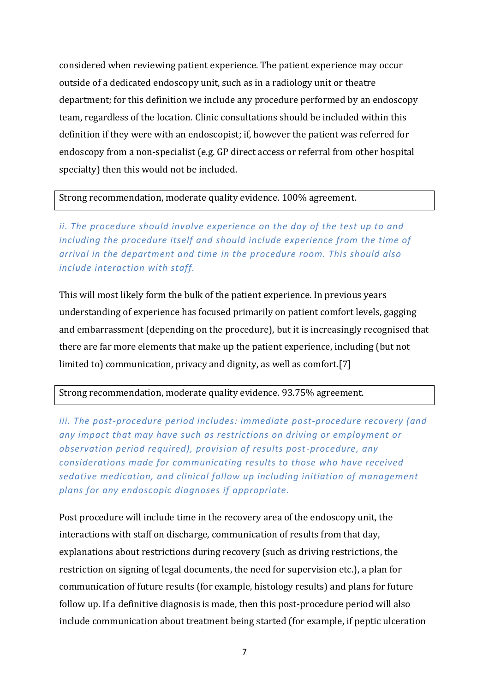considered when reviewing patient experience. The patient experience may occur outside of a dedicated endoscopy unit, such as in a radiology unit or theatre department; for this definition we include any procedure performed by an endoscopy team, regardless of the location. Clinic consultations should be included within this definition if they were with an endoscopist; if, however the patient was referred for endoscopy from a non-specialist (e.g. GP direct access or referral from other hospital specialty) then this would not be included.

#### Strong recommendation, moderate quality evidence. 100% agreement.

*ii. The procedure should involve experience on the day of the test up to and including the procedure itself and should include experience from the time of arrival in the department and time in the procedure room. This should also include interaction with staff.*

This will most likely form the bulk of the patient experience. In previous years understanding of experience has focused primarily on patient comfort levels, gagging and embarrassment (depending on the procedure), but it is increasingly recognised that there are far more elements that make up the patient experience, including (but not limited to) communication, privacy and dignity, as well as comfort.[\[7\]](#page-38-6)

#### Strong recommendation, moderate quality evidence. 93.75% agreement.

*iii. The post-procedure period includes: immediate post-procedure recovery (and any impact that may have such as restrictions on driving or employment or observation period required), provision of results post-procedure, any considerations made for communicating results to those who have received sedative medication, and clinical follow up including initiation of management plans for any endoscopic diagnoses if appropriate.*

Post procedure will include time in the recovery area of the endoscopy unit, the interactions with staff on discharge, communication of results from that day, explanations about restrictions during recovery (such as driving restrictions, the restriction on signing of legal documents, the need for supervision etc.), a plan for communication of future results (for example, histology results) and plans for future follow up. If a definitive diagnosis is made, then this post-procedure period will also include communication about treatment being started (for example, if peptic ulceration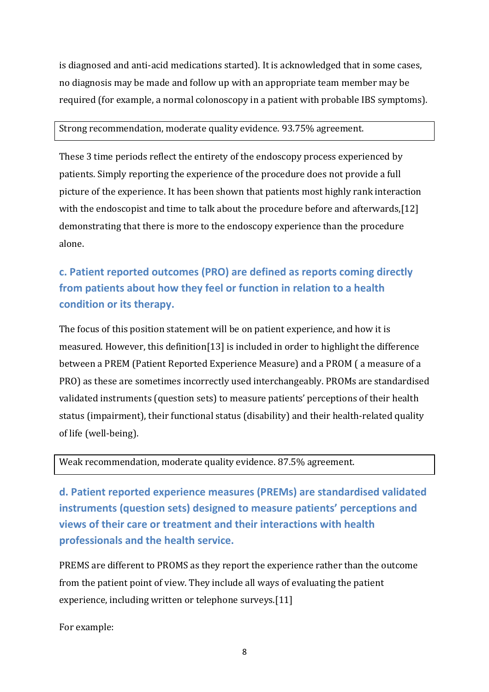is diagnosed and anti-acid medications started). It is acknowledged that in some cases, no diagnosis may be made and follow up with an appropriate team member may be required (for example, a normal colonoscopy in a patient with probable IBS symptoms).

#### Strong recommendation, moderate quality evidence. 93.75% agreement.

These 3 time periods reflect the entirety of the endoscopy process experienced by patients. Simply reporting the experience of the procedure does not provide a full picture of the experience. It has been shown that patients most highly rank interaction with the endoscopist and time to talk about the procedure before and afterwards,[\[12\]](#page-38-11) demonstrating that there is more to the endoscopy experience than the procedure alone.

## **c. Patient reported outcomes (PRO) are defined as reports coming directly from patients about how they feel or function in relation to a health condition or its therapy.**

The focus of this position statement will be on patient experience, and how it is measured. However, this definition[\[13\]](#page-38-12) is included in order to highlight the difference between a PREM (Patient Reported Experience Measure) and a PROM ( a measure of a PRO) as these are sometimes incorrectly used interchangeably. PROMs are standardised validated instruments (question sets) to measure patients' perceptions of their health status (impairment), their functional status (disability) and their health-related quality of life (well-being).

Weak recommendation, moderate quality evidence. 87.5% agreement.

**d. Patient reported experience measures (PREMs) are standardised validated instruments (question sets) designed to measure patients' perceptions and views of their care or treatment and their interactions with health professionals and the health service.**

PREMS are different to PROMS as they report the experience rather than the outcome from the patient point of view. They include all ways of evaluating the patient experience, including written or telephone surveys.[\[11\]](#page-38-10)

For example: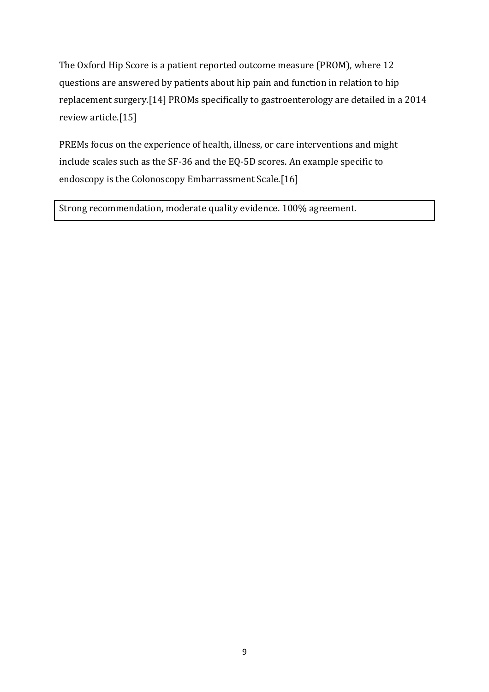The Oxford Hip Score is a patient reported outcome measure (PROM), where 12 questions are answered by patients about hip pain and function in relation to hip replacement surgery.[\[14\]](#page-39-0) PROMs specifically to gastroenterology are detailed in a 2014 review article.[\[15\]](#page-39-1)

PREMs focus on the experience of health, illness, or care interventions and might include scales such as the SF-36 and the EQ-5D scores. An example specific to endoscopy is the Colonoscopy Embarrassment Scale.[\[16\]](#page-39-2)

Strong recommendation, moderate quality evidence. 100% agreement.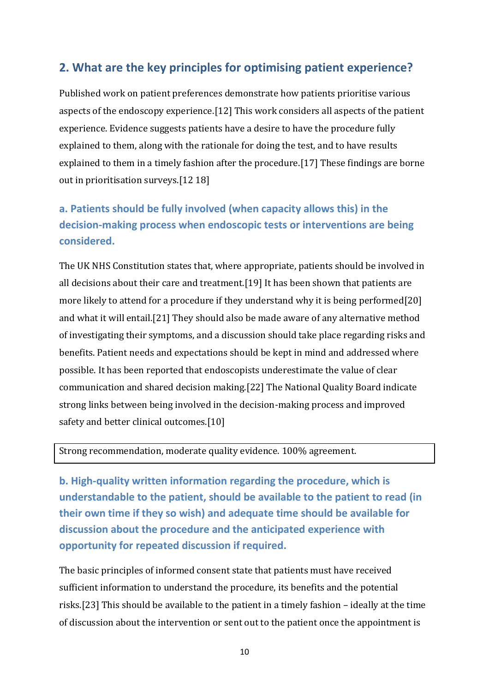#### **2. What are the key principles for optimising patient experience?**

Published work on patient preferences demonstrate how patients prioritise various aspects of the endoscopy experience.[\[12\]](#page-38-11) This work considers all aspects of the patient experience. Evidence suggests patients have a desire to have the procedure fully explained to them, along with the rationale for doing the test, and to have results explained to them in a timely fashion after the procedure.[\[17\]](#page-39-3) These findings are borne out in prioritisation surveys.[\[12](#page-38-11) [18\]](#page-39-4)

### **a. Patients should be fully involved (when capacity allows this) in the decision-making process when endoscopic tests or interventions are being considered.**

The UK NHS Constitution states that, where appropriate, patients should be involved in all decisions about their care and treatment.[\[19\]](#page-39-5) It has been shown that patients are more likely to attend for a procedure if they understand why it is being performed[\[20\]](#page-39-6) and what it will entail.[\[21\]](#page-39-7) They should also be made aware of any alternative method of investigating their symptoms, and a discussion should take place regarding risks and benefits. Patient needs and expectations should be kept in mind and addressed where possible. It has been reported that endoscopists underestimate the value of clear communication and shared decision making.[\[22\]](#page-39-8) The National Quality Board indicate strong links between being involved in the decision-making process and improved safety and better clinical outcomes.[\[10\]](#page-38-9)

#### Strong recommendation, moderate quality evidence. 100% agreement.

**b. High-quality written information regarding the procedure, which is understandable to the patient, should be available to the patient to read (in their own time if they so wish) and adequate time should be available for discussion about the procedure and the anticipated experience with opportunity for repeated discussion if required.**

The basic principles of informed consent state that patients must have received sufficient information to understand the procedure, its benefits and the potential risks.[\[23\]](#page-39-9) This should be available to the patient in a timely fashion – ideally at the time of discussion about the intervention or sent out to the patient once the appointment is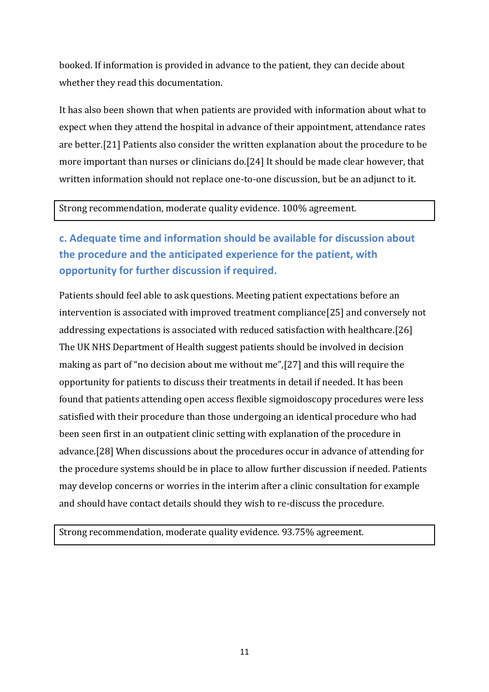booked. If information is provided in advance to the patient, they can decide about whether they read this documentation.

It has also been shown that when patients are provided with information about what to expect when they attend the hospital in advance of their appointment, attendance rates are better.[\[21\]](#page-39-7) Patients also consider the written explanation about the procedure to be more important than nurses or clinicians do.[\[24\]](#page-39-10) It should be made clear however, that written information should not replace one-to-one discussion, but be an adjunct to it.

#### Strong recommendation, moderate quality evidence. 100% agreement.

## **c. Adequate time and information should be available for discussion about the procedure and the anticipated experience for the patient, with opportunity for further discussion if required.**

Patients should feel able to ask questions. Meeting patient expectations before an intervention is associated with improved treatment compliance[\[25\]](#page-39-11) and conversely not addressing expectations is associated with reduced satisfaction with healthcare.[\[26\]](#page-40-0) The UK NHS Department of Health suggest patients should be involved in decision making as part of "no decision about me without me",[\[27\]](#page-40-1) and this will require the opportunity for patients to discuss their treatments in detail if needed. It has been found that patients attending open access flexible sigmoidoscopy procedures were less satisfied with their procedure than those undergoing an identical procedure who had been seen first in an outpatient clinic setting with explanation of the procedure in advance.[\[28\]](#page-40-2) When discussions about the procedures occur in advance of attending for the procedure systems should be in place to allow further discussion if needed. Patients may develop concerns or worries in the interim after a clinic consultation for example and should have contact details should they wish to re-discuss the procedure.

Strong recommendation, moderate quality evidence. 93.75% agreement.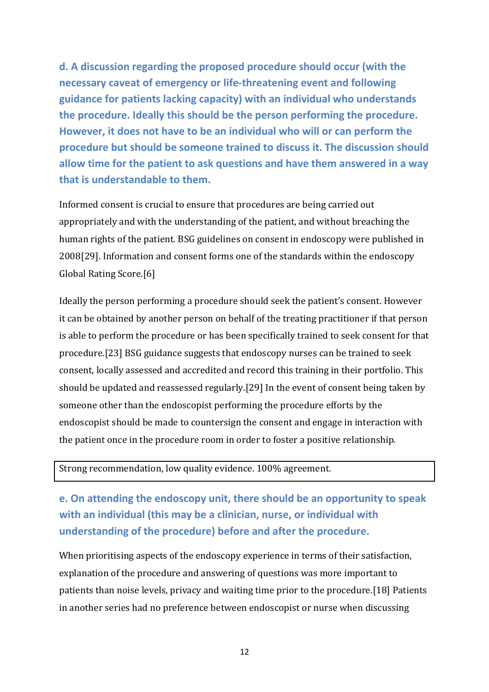**d. A discussion regarding the proposed procedure should occur (with the necessary caveat of emergency or life-threatening event and following guidance for patients lacking capacity) with an individual who understands the procedure. Ideally this should be the person performing the procedure. However, it does not have to be an individual who will or can perform the procedure but should be someone trained to discuss it. The discussion should allow time for the patient to ask questions and have them answered in a way that is understandable to them.**

Informed consent is crucial to ensure that procedures are being carried out appropriately and with the understanding of the patient, and without breaching the human rights of the patient. BSG guidelines on consent in endoscopy were published in 2008[\[29\]](#page-40-3). Information and consent forms one of the standards within the endoscopy Global Rating Score.[\[6\]](#page-38-5)

Ideally the person performing a procedure should seek the patient's consent. However it can be obtained by another person on behalf of the treating practitioner if that person is able to perform the procedure or has been specifically trained to seek consent for that procedure.[\[23\]](#page-39-9) BSG guidance suggests that endoscopy nurses can be trained to seek consent, locally assessed and accredited and record this training in their portfolio. This should be updated and reassessed regularly.[\[29\]](#page-40-3) In the event of consent being taken by someone other than the endoscopist performing the procedure efforts by the endoscopist should be made to countersign the consent and engage in interaction with the patient once in the procedure room in order to foster a positive relationship.

#### Strong recommendation, low quality evidence. 100% agreement.

**e. On attending the endoscopy unit, there should be an opportunity to speak with an individual (this may be a clinician, nurse, or individual with understanding of the procedure) before and after the procedure.**

When prioritising aspects of the endoscopy experience in terms of their satisfaction, explanation of the procedure and answering of questions was more important to patients than noise levels, privacy and waiting time prior to the procedure.[\[18\]](#page-39-4) Patients in another series had no preference between endoscopist or nurse when discussing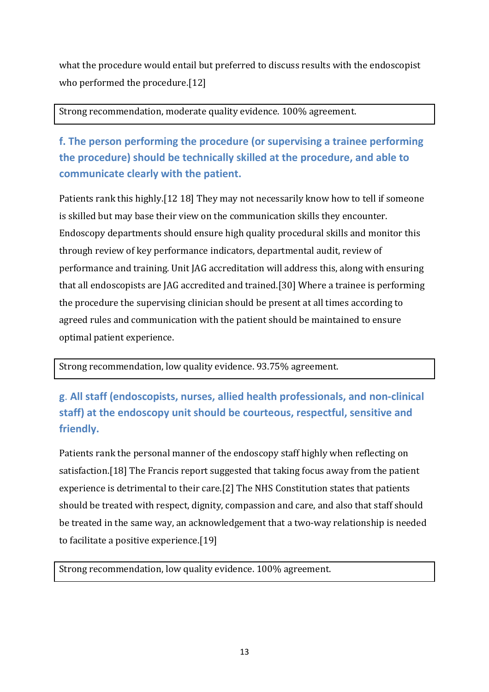what the procedure would entail but preferred to discuss results with the endoscopist who performed the procedure.[\[12\]](#page-38-11)

Strong recommendation, moderate quality evidence. 100% agreement.

**f. The person performing the procedure (or supervising a trainee performing the procedure) should be technically skilled at the procedure, and able to communicate clearly with the patient.**

Patients rank this highly.[\[12](#page-38-11) [18\]](#page-39-4) They may not necessarily know how to tell if someone is skilled but may base their view on the communication skills they encounter. Endoscopy departments should ensure high quality procedural skills and monitor this through review of key performance indicators, departmental audit, review of performance and training. Unit JAG accreditation will address this, along with ensuring that all endoscopists are JAG accredited and trained.[\[30\]](#page-40-4) Where a trainee is performing the procedure the supervising clinician should be present at all times according to agreed rules and communication with the patient should be maintained to ensure optimal patient experience.

Strong recommendation, low quality evidence. 93.75% agreement.

**g**. **All staff (endoscopists, nurses, allied health professionals, and non-clinical staff) at the endoscopy unit should be courteous, respectful, sensitive and friendly.** 

Patients rank the personal manner of the endoscopy staff highly when reflecting on satisfaction.[\[18\]](#page-39-4) The Francis report suggested that taking focus away from the patient experience is detrimental to their care.[\[2\]](#page-38-1) The NHS Constitution states that patients should be treated with respect, dignity, compassion and care, and also that staff should be treated in the same way, an acknowledgement that a two-way relationship is needed to facilitate a positive experience.[\[19\]](#page-39-5)

Strong recommendation, low quality evidence. 100% agreement.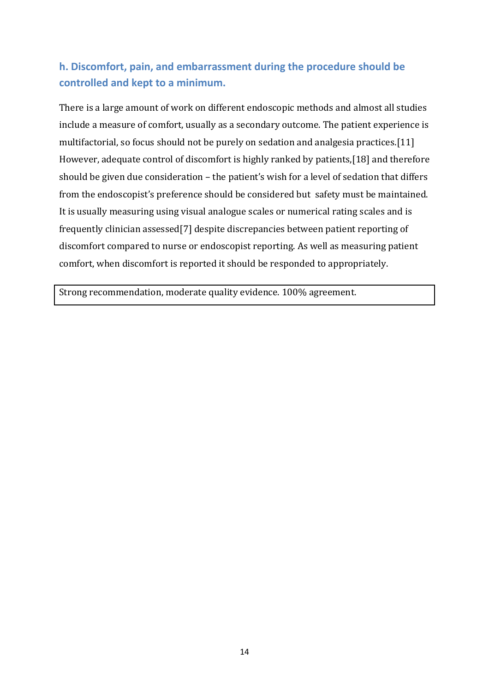### **h. Discomfort, pain, and embarrassment during the procedure should be controlled and kept to a minimum.**

There is a large amount of work on different endoscopic methods and almost all studies include a measure of comfort, usually as a secondary outcome. The patient experience is multifactorial, so focus should not be purely on sedation and analgesia practices.[\[11\]](#page-38-10) However, adequate control of discomfort is highly ranked by patients,[\[18\]](#page-39-4) and therefore should be given due consideration – the patient's wish for a level of sedation that differs from the endoscopist's preference should be considered but safety must be maintained. It is usually measuring using visual analogue scales or numerical rating scales and is frequently clinician assessed[\[7\]](#page-38-6) despite discrepancies between patient reporting of discomfort compared to nurse or endoscopist reporting. As well as measuring patient comfort, when discomfort is reported it should be responded to appropriately.

Strong recommendation, moderate quality evidence. 100% agreement.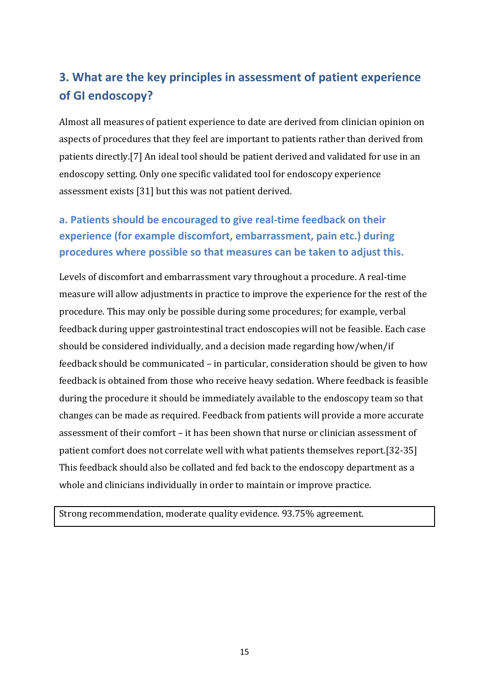## **3. What are the key principles in assessment of patient experience of GI endoscopy?**

Almost all measures of patient experience to date are derived from clinician opinion on aspects of procedures that they feel are important to patients rather than derived from patients directly.[\[7\]](#page-38-6) An ideal tool should be patient derived and validated for use in an endoscopy setting. Only one specific validated tool for endoscopy experience assessment exists [\[31\]](#page-40-5) but this was not patient derived.

## **a. Patients should be encouraged to give real-time feedback on their experience (for example discomfort, embarrassment, pain etc.) during procedures where possible so that measures can be taken to adjust this.**

Levels of discomfort and embarrassment vary throughout a procedure. A real-time measure will allow adjustments in practice to improve the experience for the rest of the procedure. This may only be possible during some procedures; for example, verbal feedback during upper gastrointestinal tract endoscopies will not be feasible. Each case should be considered individually, and a decision made regarding how/when/if feedback should be communicated – in particular, consideration should be given to how feedback is obtained from those who receive heavy sedation. Where feedback is feasible during the procedure it should be immediately available to the endoscopy team so that changes can be made as required. Feedback from patients will provide a more accurate assessment of their comfort – it has been shown that nurse or clinician assessment of patient comfort does not correlate well with what patients themselves report.[\[32-35\]](#page-40-6) This feedback should also be collated and fed back to the endoscopy department as a whole and clinicians individually in order to maintain or improve practice.

Strong recommendation, moderate quality evidence. 93.75% agreement.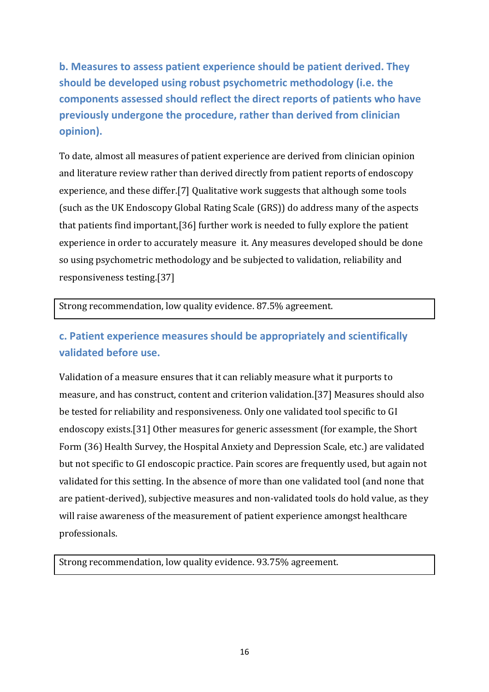**b. Measures to assess patient experience should be patient derived. They should be developed using robust psychometric methodology (i.e. the components assessed should reflect the direct reports of patients who have previously undergone the procedure, rather than derived from clinician opinion).**

To date, almost all measures of patient experience are derived from clinician opinion and literature review rather than derived directly from patient reports of endoscopy experience, and these differ.[\[7\]](#page-38-6) Qualitative work suggests that although some tools (such as the UK Endoscopy Global Rating Scale (GRS)) do address many of the aspects that patients find important,[\[36\]](#page-40-7) further work is needed to fully explore the patient experience in order to accurately measure it. Any measures developed should be done so using psychometric methodology and be subjected to validation, reliability and responsiveness testing.[\[37\]](#page-40-8)

Strong recommendation, low quality evidence. 87.5% agreement.

### **c. Patient experience measures should be appropriately and scientifically validated before use.**

Validation of a measure ensures that it can reliably measure what it purports to measure, and has construct, content and criterion validation.[\[37\]](#page-40-8) Measures should also be tested for reliability and responsiveness. Only one validated tool specific to GI endoscopy exists.[\[31\]](#page-40-5) Other measures for generic assessment (for example, the Short Form (36) Health Survey, the Hospital Anxiety and Depression Scale, etc.) are validated but not specific to GI endoscopic practice. Pain scores are frequently used, but again not validated for this setting. In the absence of more than one validated tool (and none that are patient-derived), subjective measures and non-validated tools do hold value, as they will raise awareness of the measurement of patient experience amongst healthcare professionals.

Strong recommendation, low quality evidence. 93.75% agreement.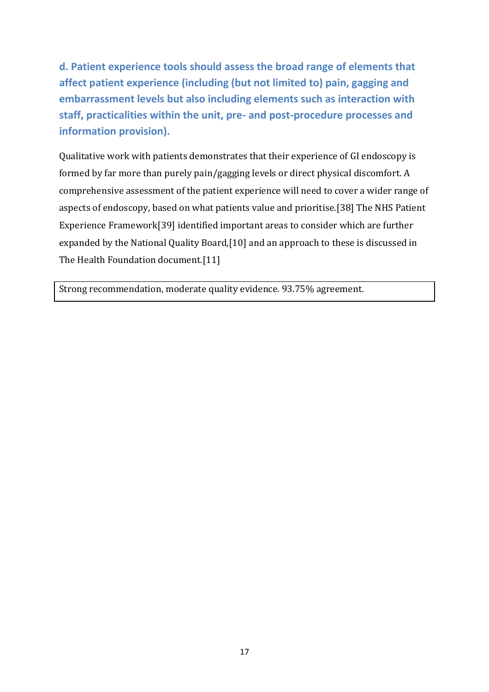**d. Patient experience tools should assess the broad range of elements that affect patient experience (including (but not limited to) pain, gagging and embarrassment levels but also including elements such as interaction with staff, practicalities within the unit, pre- and post-procedure processes and information provision).**

Qualitative work with patients demonstrates that their experience of GI endoscopy is formed by far more than purely pain/gagging levels or direct physical discomfort. A comprehensive assessment of the patient experience will need to cover a wider range of aspects of endoscopy, based on what patients value and prioritise.[\[38\]](#page-41-0) The NHS Patient Experience Framework[\[39\]](#page-41-1) identified important areas to consider which are further expanded by the National Quality Board,[\[10\]](#page-38-9) and an approach to these is discussed in The Health Foundation document.[\[11\]](#page-38-10)

Strong recommendation, moderate quality evidence. 93.75% agreement.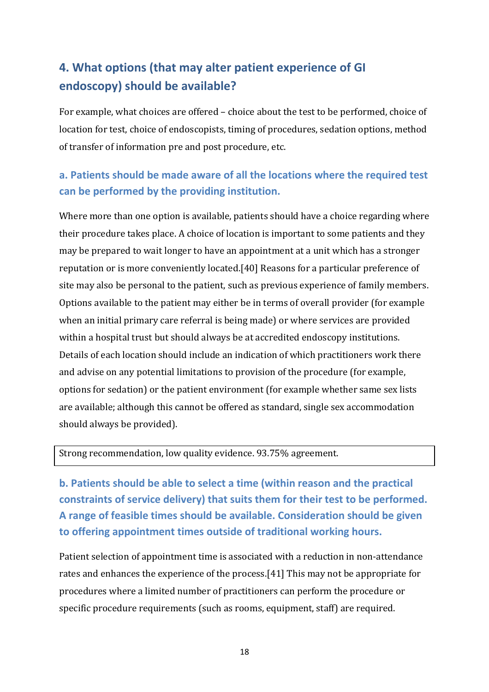## **4. What options (that may alter patient experience of GI endoscopy) should be available?**

For example, what choices are offered – choice about the test to be performed, choice of location for test, choice of endoscopists, timing of procedures, sedation options, method of transfer of information pre and post procedure, etc.

### **a. Patients should be made aware of all the locations where the required test can be performed by the providing institution.**

Where more than one option is available, patients should have a choice regarding where their procedure takes place. A choice of location is important to some patients and they may be prepared to wait longer to have an appointment at a unit which has a stronger reputation or is more conveniently located.[\[40\]](#page-41-2) Reasons for a particular preference of site may also be personal to the patient, such as previous experience of family members. Options available to the patient may either be in terms of overall provider (for example when an initial primary care referral is being made) or where services are provided within a hospital trust but should always be at accredited endoscopy institutions. Details of each location should include an indication of which practitioners work there and advise on any potential limitations to provision of the procedure (for example, options for sedation) or the patient environment (for example whether same sex lists are available; although this cannot be offered as standard, single sex accommodation should always be provided).

Strong recommendation, low quality evidence. 93.75% agreement.

**b. Patients should be able to select a time (within reason and the practical constraints of service delivery) that suits them for their test to be performed. A range of feasible times should be available. Consideration should be given to offering appointment times outside of traditional working hours.**

Patient selection of appointment time is associated with a reduction in non-attendance rates and enhances the experience of the process.[\[41\]](#page-41-3) This may not be appropriate for procedures where a limited number of practitioners can perform the procedure or specific procedure requirements (such as rooms, equipment, staff) are required.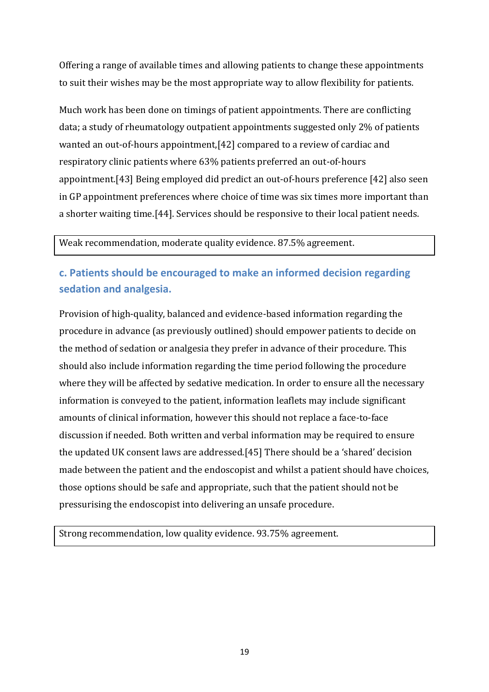Offering a range of available times and allowing patients to change these appointments to suit their wishes may be the most appropriate way to allow flexibility for patients.

Much work has been done on timings of patient appointments. There are conflicting data; a study of rheumatology outpatient appointments suggested only 2% of patients wanted an out-of-hours appointment,[\[42\]](#page-41-4) compared to a review of cardiac and respiratory clinic patients where 63% patients preferred an out-of-hours appointment.[\[43\]](#page-41-5) Being employed did predict an out-of-hours preference [\[42\]](#page-41-4) also seen in GP appointment preferences where choice of time was six times more important than a shorter waiting time.[\[44\]](#page-41-6). Services should be responsive to their local patient needs.

Weak recommendation, moderate quality evidence. 87.5% agreement.

### **c. Patients should be encouraged to make an informed decision regarding sedation and analgesia.**

Provision of high-quality, balanced and evidence-based information regarding the procedure in advance (as previously outlined) should empower patients to decide on the method of sedation or analgesia they prefer in advance of their procedure. This should also include information regarding the time period following the procedure where they will be affected by sedative medication. In order to ensure all the necessary information is conveyed to the patient, information leaflets may include significant amounts of clinical information, however this should not replace a face-to-face discussion if needed. Both written and verbal information may be required to ensure the updated UK consent laws are addressed.[\[45\]](#page-41-7) There should be a 'shared' decision made between the patient and the endoscopist and whilst a patient should have choices, those options should be safe and appropriate, such that the patient should not be pressurising the endoscopist into delivering an unsafe procedure.

Strong recommendation, low quality evidence. 93.75% agreement.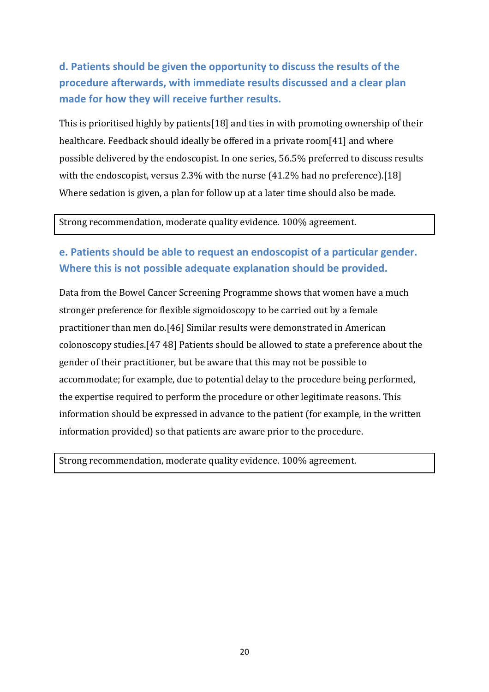## **d. Patients should be given the opportunity to discuss the results of the procedure afterwards, with immediate results discussed and a clear plan made for how they will receive further results.**

This is prioritised highly by patients[\[18\]](#page-39-4) and ties in with promoting ownership of their healthcare. Feedback should ideally be offered in a private room[\[41\]](#page-41-3) and where possible delivered by the endoscopist. In one series, 56.5% preferred to discuss results with the endoscopist, versus 2.3% with the nurse (41.2% had no preference).[\[18\]](#page-39-4) Where sedation is given, a plan for follow up at a later time should also be made.

#### Strong recommendation, moderate quality evidence. 100% agreement.

#### **e. Patients should be able to request an endoscopist of a particular gender. Where this is not possible adequate explanation should be provided.**

Data from the Bowel Cancer Screening Programme shows that women have a much stronger preference for flexible sigmoidoscopy to be carried out by a female practitioner than men do.[\[46\]](#page-41-8) Similar results were demonstrated in American colonoscopy studies.[\[47](#page-41-9) [48\]](#page-41-10) Patients should be allowed to state a preference about the gender of their practitioner, but be aware that this may not be possible to accommodate; for example, due to potential delay to the procedure being performed, the expertise required to perform the procedure or other legitimate reasons. This information should be expressed in advance to the patient (for example, in the written information provided) so that patients are aware prior to the procedure.

Strong recommendation, moderate quality evidence. 100% agreement.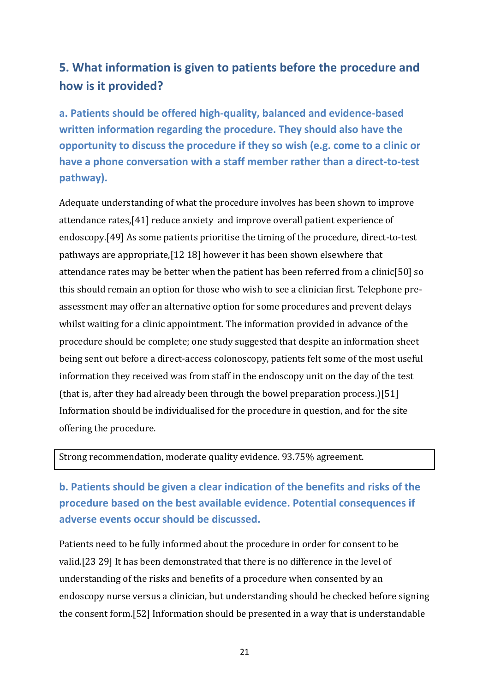## **5. What information is given to patients before the procedure and how is it provided?**

**a. Patients should be offered high-quality, balanced and evidence-based written information regarding the procedure. They should also have the opportunity to discuss the procedure if they so wish (e.g. come to a clinic or have a phone conversation with a staff member rather than a direct-to-test pathway).** 

Adequate understanding of what the procedure involves has been shown to improve attendance rates,[\[41\]](#page-41-3) reduce anxiety and improve overall patient experience of endoscopy.[\[49\]](#page-41-11) As some patients prioritise the timing of the procedure, direct-to-test pathways are appropriate,[\[12](#page-38-11) [18\]](#page-39-4) however it has been shown elsewhere that attendance rates may be better when the patient has been referred from a clinic[\[50\]](#page-41-12) so this should remain an option for those who wish to see a clinician first. Telephone preassessment may offer an alternative option for some procedures and prevent delays whilst waiting for a clinic appointment. The information provided in advance of the procedure should be complete; one study suggested that despite an information sheet being sent out before a direct-access colonoscopy, patients felt some of the most useful information they received was from staff in the endoscopy unit on the day of the test (that is, after they had already been through the bowel preparation process.)[\[51\]](#page-42-0) Information should be individualised for the procedure in question, and for the site offering the procedure.

Strong recommendation, moderate quality evidence. 93.75% agreement.

**b. Patients should be given a clear indication of the benefits and risks of the procedure based on the best available evidence. Potential consequences if adverse events occur should be discussed.** 

Patients need to be fully informed about the procedure in order for consent to be valid.[\[23](#page-39-9) [29\]](#page-40-3) It has been demonstrated that there is no difference in the level of understanding of the risks and benefits of a procedure when consented by an endoscopy nurse versus a clinician, but understanding should be checked before signing the consent form.[\[52\]](#page-42-1) Information should be presented in a way that is understandable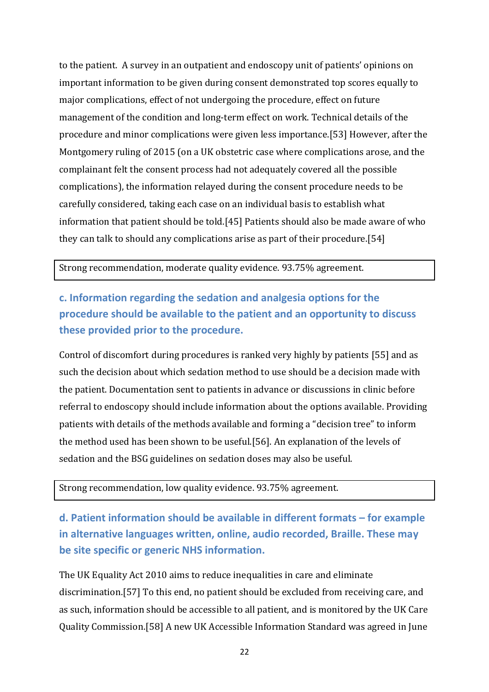to the patient. A survey in an outpatient and endoscopy unit of patients' opinions on important information to be given during consent demonstrated top scores equally to major complications, effect of not undergoing the procedure, effect on future management of the condition and long-term effect on work. Technical details of the procedure and minor complications were given less importance.[\[53\]](#page-42-2) However, after the Montgomery ruling of 2015 (on a UK obstetric case where complications arose, and the complainant felt the consent process had not adequately covered all the possible complications), the information relayed during the consent procedure needs to be carefully considered, taking each case on an individual basis to establish what information that patient should be told.[\[45\]](#page-41-7) Patients should also be made aware of who they can talk to should any complications arise as part of their procedure.[\[54\]](#page-42-3)

Strong recommendation, moderate quality evidence. 93.75% agreement.

## **c. Information regarding the sedation and analgesia options for the procedure should be available to the patient and an opportunity to discuss these provided prior to the procedure.**

Control of discomfort during procedures is ranked very highly by patients [\[55\]](#page-42-4) and as such the decision about which sedation method to use should be a decision made with the patient. Documentation sent to patients in advance or discussions in clinic before referral to endoscopy should include information about the options available. Providing patients with details of the methods available and forming a "decision tree" to inform the method used has been shown to be useful.[\[56\]](#page-42-5). An explanation of the levels of sedation and the BSG guidelines on sedation doses may also be useful.

Strong recommendation, low quality evidence. 93.75% agreement.

**d. Patient information should be available in different formats – for example in alternative languages written, online, audio recorded, Braille. These may be site specific or generic NHS information.** 

The UK Equality Act 2010 aims to reduce inequalities in care and eliminate discrimination.[\[57\]](#page-42-6) To this end, no patient should be excluded from receiving care, and as such, information should be accessible to all patient, and is monitored by the UK Care Quality Commission.[\[58\]](#page-42-7) A new UK Accessible Information Standard was agreed in June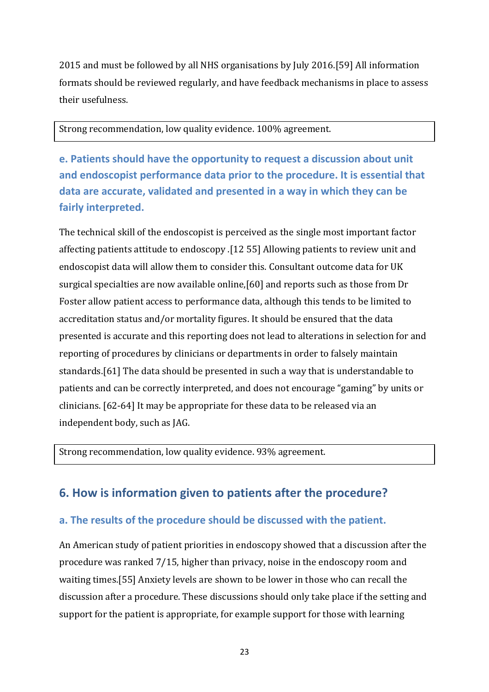2015 and must be followed by all NHS organisations by July 2016.[\[59\]](#page-42-8) All information formats should be reviewed regularly, and have feedback mechanisms in place to assess their usefulness.

Strong recommendation, low quality evidence. 100% agreement.

**e. Patients should have the opportunity to request a discussion about unit and endoscopist performance data prior to the procedure. It is essential that data are accurate, validated and presented in a way in which they can be fairly interpreted.**

The technical skill of the endoscopist is perceived as the single most important factor affecting patients attitude to endoscopy .[\[12](#page-38-11) [55\]](#page-42-4) Allowing patients to review unit and endoscopist data will allow them to consider this. Consultant outcome data for UK surgical specialties are now available online,[\[60\]](#page-42-9) and reports such as those from Dr Foster allow patient access to performance data, although this tends to be limited to accreditation status and/or mortality figures. It should be ensured that the data presented is accurate and this reporting does not lead to alterations in selection for and reporting of procedures by clinicians or departments in order to falsely maintain standards.[\[61\]](#page-42-10) The data should be presented in such a way that is understandable to patients and can be correctly interpreted, and does not encourage "gaming" by units or clinicians. [\[62-64\]](#page-42-11) It may be appropriate for these data to be released via an independent body, such as JAG.

Strong recommendation, low quality evidence. 93% agreement.

### **6. How is information given to patients after the procedure?**

#### **a. The results of the procedure should be discussed with the patient.**

An American study of patient priorities in endoscopy showed that a discussion after the procedure was ranked 7/15, higher than privacy, noise in the endoscopy room and waiting times.[\[55\]](#page-42-4) Anxiety levels are shown to be lower in those who can recall the discussion after a procedure. These discussions should only take place if the setting and support for the patient is appropriate, for example support for those with learning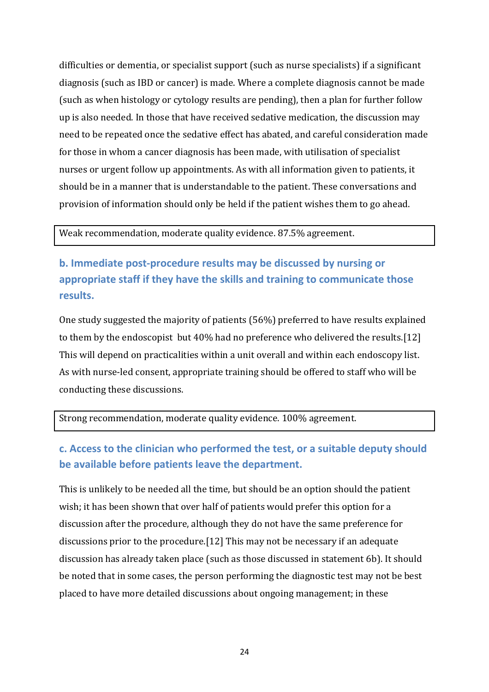difficulties or dementia, or specialist support (such as nurse specialists) if a significant diagnosis (such as IBD or cancer) is made. Where a complete diagnosis cannot be made (such as when histology or cytology results are pending), then a plan for further follow up is also needed. In those that have received sedative medication, the discussion may need to be repeated once the sedative effect has abated, and careful consideration made for those in whom a cancer diagnosis has been made, with utilisation of specialist nurses or urgent follow up appointments. As with all information given to patients, it should be in a manner that is understandable to the patient. These conversations and provision of information should only be held if the patient wishes them to go ahead.

Weak recommendation, moderate quality evidence. 87.5% agreement.

**b. Immediate post-procedure results may be discussed by nursing or appropriate staff if they have the skills and training to communicate those results.**

One study suggested the majority of patients (56%) preferred to have results explained to them by the endoscopist but 40% had no preference who delivered the results.[\[12\]](#page-38-11) This will depend on practicalities within a unit overall and within each endoscopy list. As with nurse-led consent, appropriate training should be offered to staff who will be conducting these discussions.

Strong recommendation, moderate quality evidence. 100% agreement.

### **c. Access to the clinician who performed the test, or a suitable deputy should be available before patients leave the department.**

This is unlikely to be needed all the time, but should be an option should the patient wish; it has been shown that over half of patients would prefer this option for a discussion after the procedure, although they do not have the same preference for discussions prior to the procedure.[\[12\]](#page-38-11) This may not be necessary if an adequate discussion has already taken place (such as those discussed in statement 6b). It should be noted that in some cases, the person performing the diagnostic test may not be best placed to have more detailed discussions about ongoing management; in these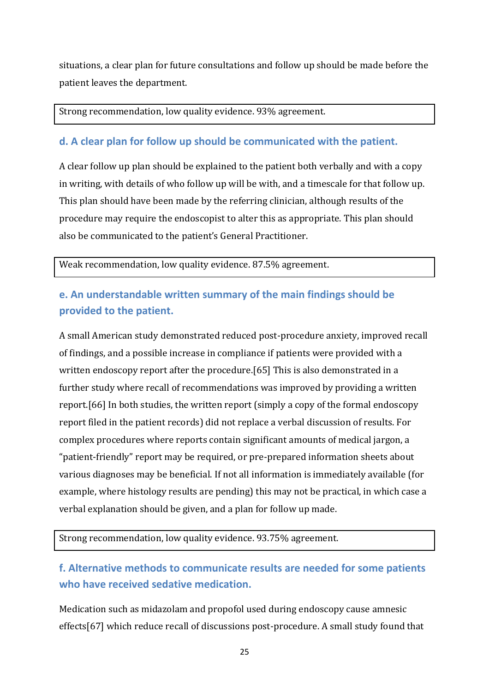situations, a clear plan for future consultations and follow up should be made before the patient leaves the department.

Strong recommendation, low quality evidence. 93% agreement.

#### **d. A clear plan for follow up should be communicated with the patient.**

A clear follow up plan should be explained to the patient both verbally and with a copy in writing, with details of who follow up will be with, and a timescale for that follow up. This plan should have been made by the referring clinician, although results of the procedure may require the endoscopist to alter this as appropriate. This plan should also be communicated to the patient's General Practitioner.

Weak recommendation, low quality evidence. 87.5% agreement.

### **e. An understandable written summary of the main findings should be provided to the patient.**

A small American study demonstrated reduced post-procedure anxiety, improved recall of findings, and a possible increase in compliance if patients were provided with a written endoscopy report after the procedure.[\[65\]](#page-43-0) This is also demonstrated in a further study where recall of recommendations was improved by providing a written report.[\[66\]](#page-43-1) In both studies, the written report (simply a copy of the formal endoscopy report filed in the patient records) did not replace a verbal discussion of results. For complex procedures where reports contain significant amounts of medical jargon, a "patient-friendly" report may be required, or pre-prepared information sheets about various diagnoses may be beneficial. If not all information is immediately available (for example, where histology results are pending) this may not be practical, in which case a verbal explanation should be given, and a plan for follow up made.

Strong recommendation, low quality evidence. 93.75% agreement.

### **f. Alternative methods to communicate results are needed for some patients who have received sedative medication.**

Medication such as midazolam and propofol used during endoscopy cause amnesic effects[\[67\]](#page-43-2) which reduce recall of discussions post-procedure. A small study found that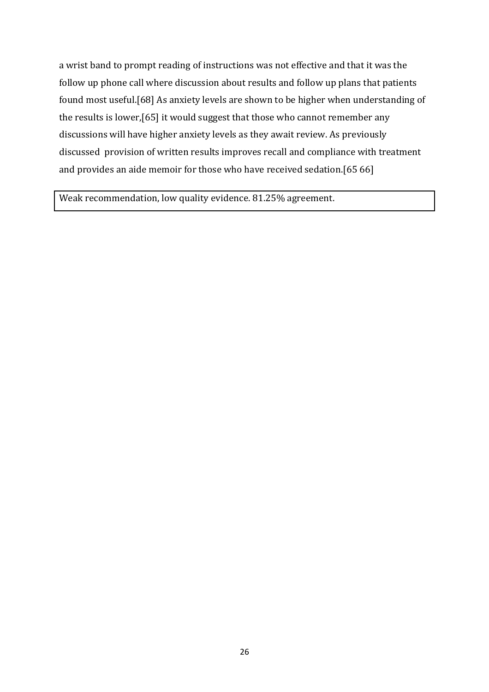a wrist band to prompt reading of instructions was not effective and that it was the follow up phone call where discussion about results and follow up plans that patients found most useful.[\[68\]](#page-43-3) As anxiety levels are shown to be higher when understanding of the results is lower,[\[65\]](#page-43-0) it would suggest that those who cannot remember any discussions will have higher anxiety levels as they await review. As previously discussed provision of written results improves recall and compliance with treatment and provides an aide memoir for those who have received sedation.[\[65](#page-43-0) [66\]](#page-43-1)

Weak recommendation, low quality evidence. 81.25% agreement.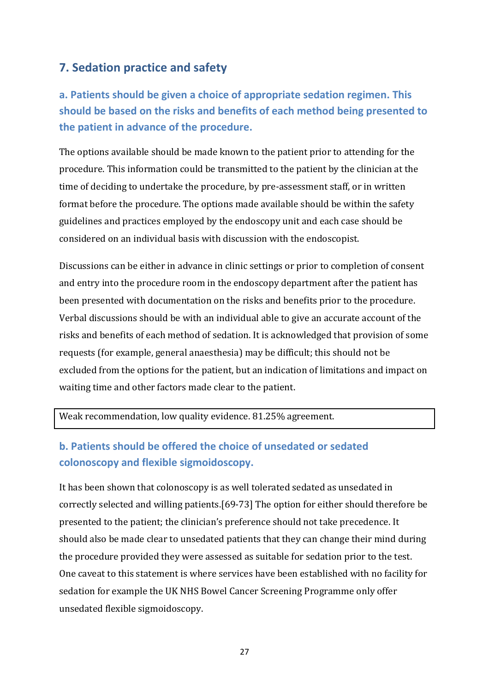### **7. Sedation practice and safety**

## **a. Patients should be given a choice of appropriate sedation regimen. This should be based on the risks and benefits of each method being presented to the patient in advance of the procedure.**

The options available should be made known to the patient prior to attending for the procedure. This information could be transmitted to the patient by the clinician at the time of deciding to undertake the procedure, by pre-assessment staff, or in written format before the procedure. The options made available should be within the safety guidelines and practices employed by the endoscopy unit and each case should be considered on an individual basis with discussion with the endoscopist.

Discussions can be either in advance in clinic settings or prior to completion of consent and entry into the procedure room in the endoscopy department after the patient has been presented with documentation on the risks and benefits prior to the procedure. Verbal discussions should be with an individual able to give an accurate account of the risks and benefits of each method of sedation. It is acknowledged that provision of some requests (for example, general anaesthesia) may be difficult; this should not be excluded from the options for the patient, but an indication of limitations and impact on waiting time and other factors made clear to the patient.

#### Weak recommendation, low quality evidence. 81.25% agreement.

#### **b. Patients should be offered the choice of unsedated or sedated colonoscopy and flexible sigmoidoscopy.**

It has been shown that colonoscopy is as well tolerated sedated as unsedated in correctly selected and willing patients.[\[69-73\]](#page-43-4) The option for either should therefore be presented to the patient; the clinician's preference should not take precedence. It should also be made clear to unsedated patients that they can change their mind during the procedure provided they were assessed as suitable for sedation prior to the test. One caveat to this statement is where services have been established with no facility for sedation for example the UK NHS Bowel Cancer Screening Programme only offer unsedated flexible sigmoidoscopy.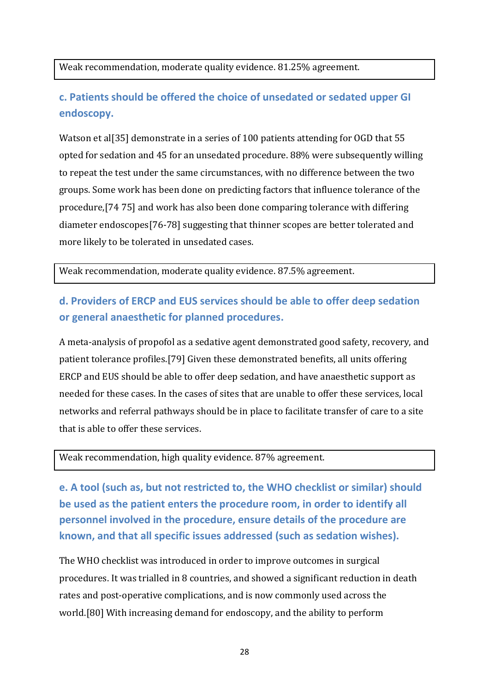Weak recommendation, moderate quality evidence. 81.25% agreement.

## **c. Patients should be offered the choice of unsedated or sedated upper GI endoscopy.**

Watson et al<sup>[\[35\]](#page-40-9)</sup> demonstrate in a series of 100 patients attending for OGD that 55 opted for sedation and 45 for an unsedated procedure. 88% were subsequently willing to repeat the test under the same circumstances, with no difference between the two groups. Some work has been done on predicting factors that influence tolerance of the procedure,[\[74](#page-43-5) [75\]](#page-43-6) and work has also been done comparing tolerance with differing diameter endoscopes[\[76-78\]](#page-43-7) suggesting that thinner scopes are better tolerated and more likely to be tolerated in unsedated cases.

Weak recommendation, moderate quality evidence. 87.5% agreement.

### **d. Providers of ERCP and EUS services should be able to offer deep sedation or general anaesthetic for planned procedures.**

A meta-analysis of propofol as a sedative agent demonstrated good safety, recovery, and patient tolerance profiles.[\[79\]](#page-44-0) Given these demonstrated benefits, all units offering ERCP and EUS should be able to offer deep sedation, and have anaesthetic support as needed for these cases. In the cases of sites that are unable to offer these services, local networks and referral pathways should be in place to facilitate transfer of care to a site that is able to offer these services.

#### Weak recommendation, high quality evidence. 87% agreement.

**e. A tool (such as, but not restricted to, the WHO checklist or similar) should be used as the patient enters the procedure room, in order to identify all personnel involved in the procedure, ensure details of the procedure are known, and that all specific issues addressed (such as sedation wishes).**

The WHO checklist was introduced in order to improve outcomes in surgical procedures. It was trialled in 8 countries, and showed a significant reduction in death rates and post-operative complications, and is now commonly used across the world.[\[80\]](#page-44-1) With increasing demand for endoscopy, and the ability to perform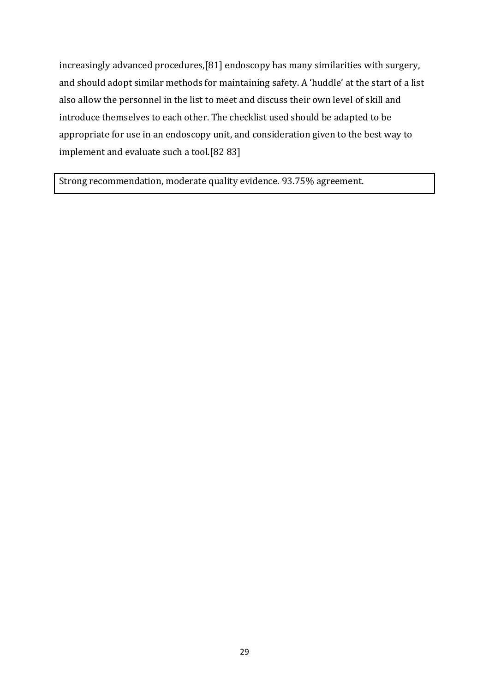increasingly advanced procedures,[\[81\]](#page-44-2) endoscopy has many similarities with surgery, and should adopt similar methods for maintaining safety. A 'huddle' at the start of a list also allow the personnel in the list to meet and discuss their own level of skill and introduce themselves to each other. The checklist used should be adapted to be appropriate for use in an endoscopy unit, and consideration given to the best way to implement and evaluate such a tool.[\[82](#page-44-3) [83\]](#page-44-4)

Strong recommendation, moderate quality evidence. 93.75% agreement.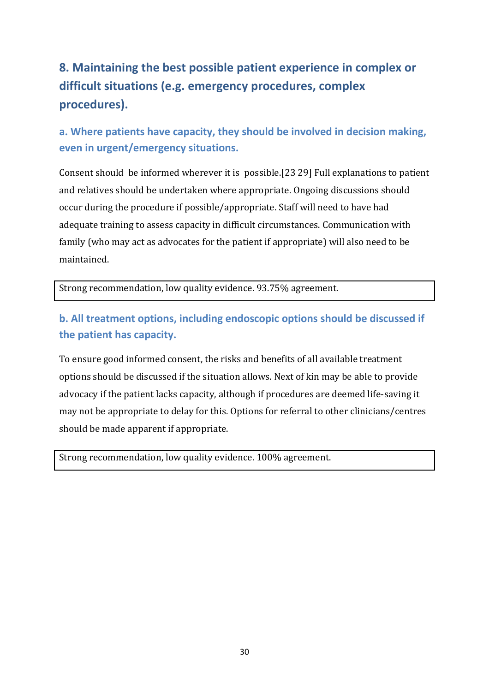# **8. Maintaining the best possible patient experience in complex or difficult situations (e.g. emergency procedures, complex procedures).**

### **a. Where patients have capacity, they should be involved in decision making, even in urgent/emergency situations.**

Consent should be informed wherever it is possible.[\[23](#page-39-9) [29\]](#page-40-3) Full explanations to patient and relatives should be undertaken where appropriate. Ongoing discussions should occur during the procedure if possible/appropriate. Staff will need to have had adequate training to assess capacity in difficult circumstances. Communication with family (who may act as advocates for the patient if appropriate) will also need to be maintained.

Strong recommendation, low quality evidence. 93.75% agreement.

### **b. All treatment options, including endoscopic options should be discussed if the patient has capacity.**

To ensure good informed consent, the risks and benefits of all available treatment options should be discussed if the situation allows. Next of kin may be able to provide advocacy if the patient lacks capacity, although if procedures are deemed life-saving it may not be appropriate to delay for this. Options for referral to other clinicians/centres should be made apparent if appropriate.

Strong recommendation, low quality evidence. 100% agreement.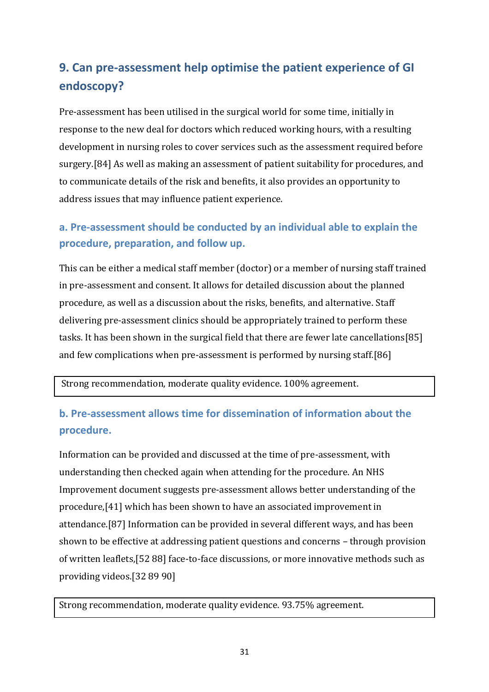## **9. Can pre-assessment help optimise the patient experience of GI endoscopy?**

Pre-assessment has been utilised in the surgical world for some time, initially in response to the new deal for doctors which reduced working hours, with a resulting development in nursing roles to cover services such as the assessment required before surgery.[\[84\]](#page-44-5) As well as making an assessment of patient suitability for procedures, and to communicate details of the risk and benefits, it also provides an opportunity to address issues that may influence patient experience.

### **a. Pre-assessment should be conducted by an individual able to explain the procedure, preparation, and follow up.**

This can be either a medical staff member (doctor) or a member of nursing staff trained in pre-assessment and consent. It allows for detailed discussion about the planned procedure, as well as a discussion about the risks, benefits, and alternative. Staff delivering pre-assessment clinics should be appropriately trained to perform these tasks. It has been shown in the surgical field that there are fewer late cancellations[\[85\]](#page-44-6) and few complications when pre-assessment is performed by nursing staff.[\[86\]](#page-44-7)

Strong recommendation, moderate quality evidence. 100% agreement.

#### **b. Pre-assessment allows time for dissemination of information about the procedure.**

Information can be provided and discussed at the time of pre-assessment, with understanding then checked again when attending for the procedure. An NHS Improvement document suggests pre-assessment allows better understanding of the procedure,[\[41\]](#page-41-3) which has been shown to have an associated improvement in attendance.[\[87\]](#page-44-8) Information can be provided in several different ways, and has been shown to be effective at addressing patient questions and concerns – through provision of written leaflets,[\[52](#page-42-1) [88\]](#page-44-9) face-to-face discussions, or more innovative methods such as providing videos.[\[32](#page-40-6) [89](#page-44-10) [90\]](#page-44-11)

Strong recommendation, moderate quality evidence. 93.75% agreement.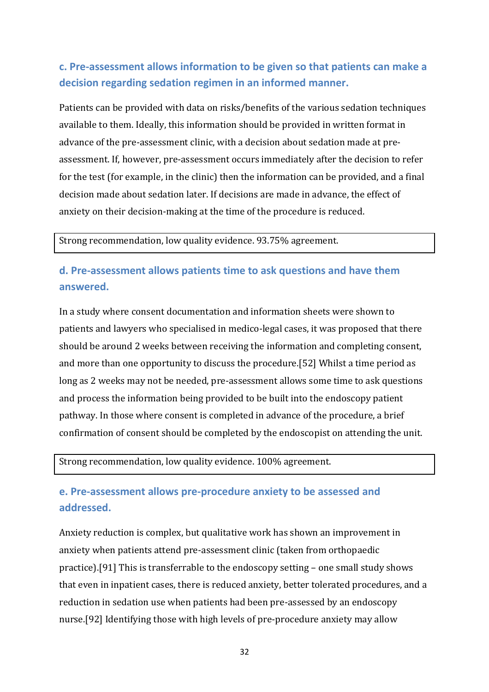### **c. Pre-assessment allows information to be given so that patients can make a decision regarding sedation regimen in an informed manner.**

Patients can be provided with data on risks/benefits of the various sedation techniques available to them. Ideally, this information should be provided in written format in advance of the pre-assessment clinic, with a decision about sedation made at preassessment. If, however, pre-assessment occurs immediately after the decision to refer for the test (for example, in the clinic) then the information can be provided, and a final decision made about sedation later. If decisions are made in advance, the effect of anxiety on their decision-making at the time of the procedure is reduced.

Strong recommendation, low quality evidence. 93.75% agreement.

#### **d. Pre-assessment allows patients time to ask questions and have them answered.**

In a study where consent documentation and information sheets were shown to patients and lawyers who specialised in medico-legal cases, it was proposed that there should be around 2 weeks between receiving the information and completing consent, and more than one opportunity to discuss the procedure.[\[52\]](#page-42-1) Whilst a time period as long as 2 weeks may not be needed, pre-assessment allows some time to ask questions and process the information being provided to be built into the endoscopy patient pathway. In those where consent is completed in advance of the procedure, a brief confirmation of consent should be completed by the endoscopist on attending the unit.

Strong recommendation, low quality evidence. 100% agreement.

### **e. Pre-assessment allows pre-procedure anxiety to be assessed and addressed.**

Anxiety reduction is complex, but qualitative work has shown an improvement in anxiety when patients attend pre-assessment clinic (taken from orthopaedic practice).[\[91\]](#page-44-12) This is transferrable to the endoscopy setting – one small study shows that even in inpatient cases, there is reduced anxiety, better tolerated procedures, and a reduction in sedation use when patients had been pre-assessed by an endoscopy nurse.[\[92\]](#page-45-0) Identifying those with high levels of pre-procedure anxiety may allow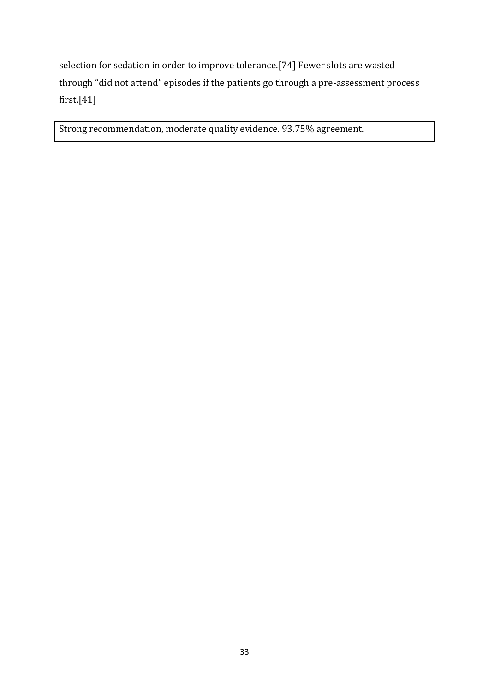selection for sedation in order to improve tolerance.[\[74\]](#page-43-5) Fewer slots are wasted through "did not attend" episodes if the patients go through a pre-assessment process first.[\[41\]](#page-41-3)

Strong recommendation, moderate quality evidence. 93.75% agreement.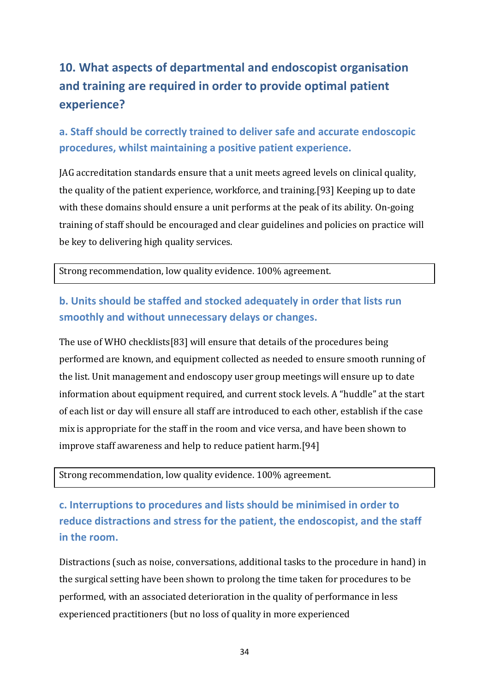# **10. What aspects of departmental and endoscopist organisation and training are required in order to provide optimal patient experience?**

### **a. Staff should be correctly trained to deliver safe and accurate endoscopic procedures, whilst maintaining a positive patient experience.**

JAG accreditation standards ensure that a unit meets agreed levels on clinical quality, the quality of the patient experience, workforce, and training.[\[93\]](#page-45-1) Keeping up to date with these domains should ensure a unit performs at the peak of its ability. On-going training of staff should be encouraged and clear guidelines and policies on practice will be key to delivering high quality services.

Strong recommendation, low quality evidence. 100% agreement.

### **b. Units should be staffed and stocked adequately in order that lists run smoothly and without unnecessary delays or changes.**

The use of WHO checklists[\[83\]](#page-44-4) will ensure that details of the procedures being performed are known, and equipment collected as needed to ensure smooth running of the list. Unit management and endoscopy user group meetings will ensure up to date information about equipment required, and current stock levels. A "huddle" at the start of each list or day will ensure all staff are introduced to each other, establish if the case mix is appropriate for the staff in the room and vice versa, and have been shown to improve staff awareness and help to reduce patient harm.[\[94\]](#page-45-2)

#### Strong recommendation, low quality evidence. 100% agreement.

**c. Interruptions to procedures and lists should be minimised in order to reduce distractions and stress for the patient, the endoscopist, and the staff in the room.**

Distractions (such as noise, conversations, additional tasks to the procedure in hand) in the surgical setting have been shown to prolong the time taken for procedures to be performed, with an associated deterioration in the quality of performance in less experienced practitioners (but no loss of quality in more experienced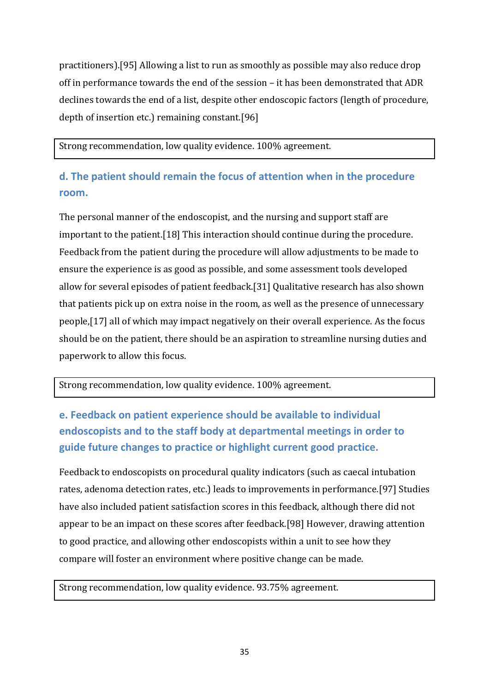practitioners).[\[95\]](#page-45-3) Allowing a list to run as smoothly as possible may also reduce drop off in performance towards the end of the session – it has been demonstrated that ADR declines towards the end of a list, despite other endoscopic factors (length of procedure, depth of insertion etc.) remaining constant.[\[96\]](#page-45-4)

Strong recommendation, low quality evidence. 100% agreement.

### **d. The patient should remain the focus of attention when in the procedure room.**

The personal manner of the endoscopist, and the nursing and support staff are important to the patient.[\[18\]](#page-39-4) This interaction should continue during the procedure. Feedback from the patient during the procedure will allow adjustments to be made to ensure the experience is as good as possible, and some assessment tools developed allow for several episodes of patient feedback.[\[31\]](#page-40-5) Qualitative research has also shown that patients pick up on extra noise in the room, as well as the presence of unnecessary people,[\[17\]](#page-39-3) all of which may impact negatively on their overall experience. As the focus should be on the patient, there should be an aspiration to streamline nursing duties and paperwork to allow this focus.

Strong recommendation, low quality evidence. 100% agreement.

## **e. Feedback on patient experience should be available to individual endoscopists and to the staff body at departmental meetings in order to guide future changes to practice or highlight current good practice.**

Feedback to endoscopists on procedural quality indicators (such as caecal intubation rates, adenoma detection rates, etc.) leads to improvements in performance.[\[97\]](#page-45-5) Studies have also included patient satisfaction scores in this feedback, although there did not appear to be an impact on these scores after feedback.[\[98\]](#page-45-6) However, drawing attention to good practice, and allowing other endoscopists within a unit to see how they compare will foster an environment where positive change can be made.

Strong recommendation, low quality evidence. 93.75% agreement.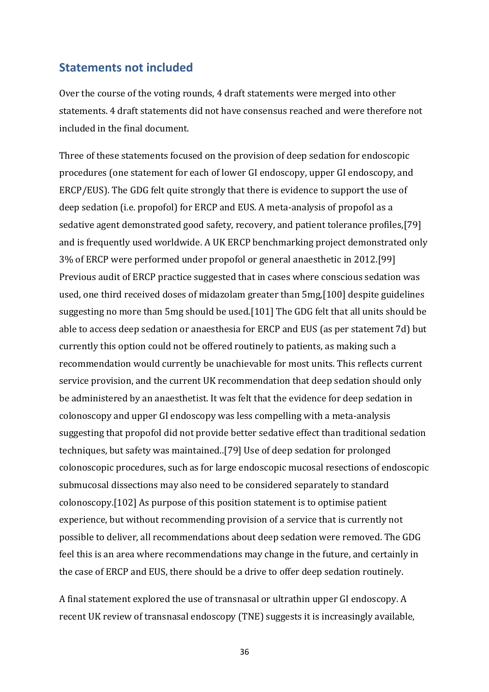#### **Statements not included**

Over the course of the voting rounds, 4 draft statements were merged into other statements. 4 draft statements did not have consensus reached and were therefore not included in the final document.

Three of these statements focused on the provision of deep sedation for endoscopic procedures (one statement for each of lower GI endoscopy, upper GI endoscopy, and ERCP/EUS). The GDG felt quite strongly that there is evidence to support the use of deep sedation (i.e. propofol) for ERCP and EUS. A meta-analysis of propofol as a sedative agent demonstrated good safety, recovery, and patient tolerance profiles,[\[79\]](#page-44-0) and is frequently used worldwide. A UK ERCP benchmarking project demonstrated only 3% of ERCP were performed under propofol or general anaesthetic in 2012.[\[99\]](#page-45-7) Previous audit of ERCP practice suggested that in cases where conscious sedation was used, one third received doses of midazolam greater than 5mg,[\[100\]](#page-45-8) despite guidelines suggesting no more than 5mg should be used.[\[101\]](#page-45-9) The GDG felt that all units should be able to access deep sedation or anaesthesia for ERCP and EUS (as per statement 7d) but currently this option could not be offered routinely to patients, as making such a recommendation would currently be unachievable for most units. This reflects current service provision, and the current UK recommendation that deep sedation should only be administered by an anaesthetist. It was felt that the evidence for deep sedation in colonoscopy and upper GI endoscopy was less compelling with a meta-analysis suggesting that propofol did not provide better sedative effect than traditional sedation techniques, but safety was maintained..[\[79\]](#page-44-0) Use of deep sedation for prolonged colonoscopic procedures, such as for large endoscopic mucosal resections of endoscopic submucosal dissections may also need to be considered separately to standard colonoscopy.[\[102\]](#page-45-10) As purpose of this position statement is to optimise patient experience, but without recommending provision of a service that is currently not possible to deliver, all recommendations about deep sedation were removed. The GDG feel this is an area where recommendations may change in the future, and certainly in the case of ERCP and EUS, there should be a drive to offer deep sedation routinely.

A final statement explored the use of transnasal or ultrathin upper GI endoscopy. A recent UK review of transnasal endoscopy (TNE) suggests it is increasingly available,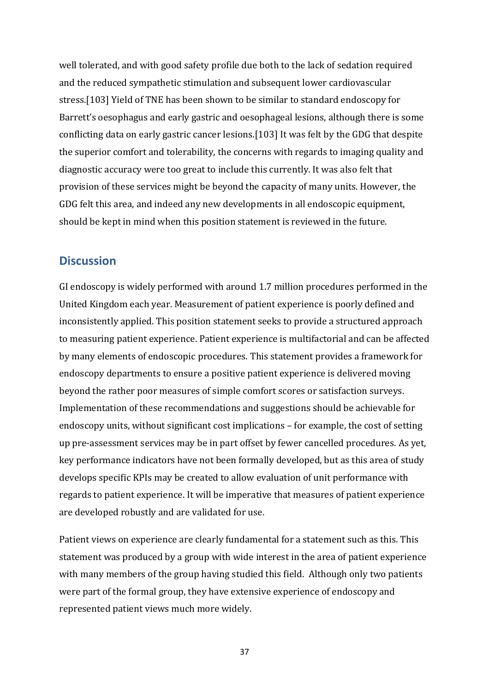well tolerated, and with good safety profile due both to the lack of sedation required and the reduced sympathetic stimulation and subsequent lower cardiovascular stress.[\[103\]](#page-45-11) Yield of TNE has been shown to be similar to standard endoscopy for Barrett's oesophagus and early gastric and oesophageal lesions, although there is some conflicting data on early gastric cancer lesions.[\[103\]](#page-45-11) It was felt by the GDG that despite the superior comfort and tolerability, the concerns with regards to imaging quality and diagnostic accuracy were too great to include this currently. It was also felt that provision of these services might be beyond the capacity of many units. However, the GDG felt this area, and indeed any new developments in all endoscopic equipment, should be kept in mind when this position statement is reviewed in the future.

#### **Discussion**

GI endoscopy is widely performed with around 1.7 million procedures performed in the United Kingdom each year. Measurement of patient experience is poorly defined and inconsistently applied. This position statement seeks to provide a structured approach to measuring patient experience. Patient experience is multifactorial and can be affected by many elements of endoscopic procedures. This statement provides a framework for endoscopy departments to ensure a positive patient experience is delivered moving beyond the rather poor measures of simple comfort scores or satisfaction surveys. Implementation of these recommendations and suggestions should be achievable for endoscopy units, without significant cost implications – for example, the cost of setting up pre-assessment services may be in part offset by fewer cancelled procedures. As yet, key performance indicators have not been formally developed, but as this area of study develops specific KPIs may be created to allow evaluation of unit performance with regards to patient experience. It will be imperative that measures of patient experience are developed robustly and are validated for use.

Patient views on experience are clearly fundamental for a statement such as this. This statement was produced by a group with wide interest in the area of patient experience with many members of the group having studied this field. Although only two patients were part of the formal group, they have extensive experience of endoscopy and represented patient views much more widely.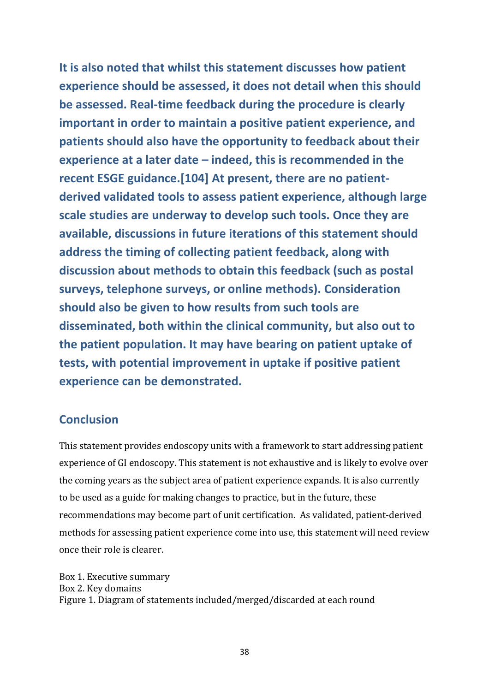**It is also noted that whilst this statement discusses how patient experience should be assessed, it does not detail when this should be assessed. Real-time feedback during the procedure is clearly important in order to maintain a positive patient experience, and patients should also have the opportunity to feedback about their experience at a later date – indeed, this is recommended in the recent ESGE guidance.[\[104\]](#page-45-12) At present, there are no patientderived validated tools to assess patient experience, although large scale studies are underway to develop such tools. Once they are available, discussions in future iterations of this statement should address the timing of collecting patient feedback, along with discussion about methods to obtain this feedback (such as postal surveys, telephone surveys, or online methods). Consideration should also be given to how results from such tools are disseminated, both within the clinical community, but also out to the patient population. It may have bearing on patient uptake of tests, with potential improvement in uptake if positive patient experience can be demonstrated.**

#### **Conclusion**

This statement provides endoscopy units with a framework to start addressing patient experience of GI endoscopy. This statement is not exhaustive and is likely to evolve over the coming years as the subject area of patient experience expands. It is also currently to be used as a guide for making changes to practice, but in the future, these recommendations may become part of unit certification. As validated, patient-derived methods for assessing patient experience come into use, this statement will need review once their role is clearer.

Box 1. Executive summary Box 2. Key domains Figure 1. Diagram of statements included/merged/discarded at each round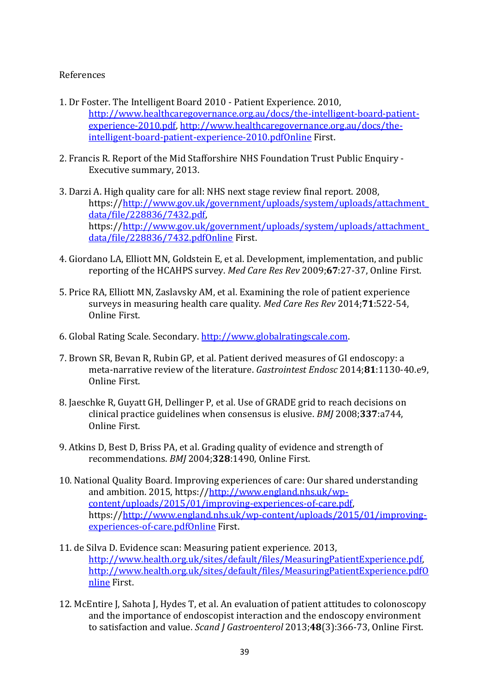#### <span id="page-38-12"></span>References

- <span id="page-38-0"></span>1. Dr Foster. The Intelligent Board 2010 - Patient Experience. 2010, [http://www.healthcaregovernance.org.au/docs/the-intelligent-board-patient](http://www.healthcaregovernance.org.au/docs/the-intelligent-board-patient-experience-2010.pdf)[experience-2010.pdf,](http://www.healthcaregovernance.org.au/docs/the-intelligent-board-patient-experience-2010.pdf) [http://www.healthcaregovernance.org.au/docs/the](http://www.healthcaregovernance.org.au/docs/the-intelligent-board-patient-experience-2010.pdfOnline)[intelligent-board-patient-experience-2010.pdfOnline](http://www.healthcaregovernance.org.au/docs/the-intelligent-board-patient-experience-2010.pdfOnline) First.
- <span id="page-38-1"></span>2. Francis R. Report of the Mid Stafforshire NHS Foundation Trust Public Enquiry - Executive summary, 2013.
- <span id="page-38-2"></span>3. Darzi A. High quality care for all: NHS next stage review final report. 2008, https:/[/http://www.gov.uk/government/uploads/system/uploads/attachment\\_](http://www.gov.uk/government/uploads/system/uploads/attachment_data/file/228836/7432.pdf) [data/file/228836/7432.pdf,](http://www.gov.uk/government/uploads/system/uploads/attachment_data/file/228836/7432.pdf) https:/[/http://www.gov.uk/government/uploads/system/uploads/attachment\\_](http://www.gov.uk/government/uploads/system/uploads/attachment_data/file/228836/7432.pdfOnline) [data/file/228836/7432.pdfOnline](http://www.gov.uk/government/uploads/system/uploads/attachment_data/file/228836/7432.pdfOnline) First.
- <span id="page-38-3"></span>4. Giordano LA, Elliott MN, Goldstein E, et al. Development, implementation, and public reporting of the HCAHPS survey. *Med Care Res Rev* 2009;**67**:27-37, Online First.
- <span id="page-38-4"></span>5. Price RA, Elliott MN, Zaslavsky AM, et al. Examining the role of patient experience surveys in measuring health care quality. *Med Care Res Rev* 2014;**71**:522-54, Online First.
- <span id="page-38-5"></span>6. Global Rating Scale. Secondary. [http://www.globalratingscale.com.](http://www.globalratingscale.com/)
- <span id="page-38-6"></span>7. Brown SR, Bevan R, Rubin GP, et al. Patient derived measures of GI endoscopy: a meta-narrative review of the literature. *Gastrointest Endosc* 2014;**81**:1130-40.e9, Online First.
- <span id="page-38-7"></span>8. Jaeschke R, Guyatt GH, Dellinger P, et al. Use of GRADE grid to reach decisions on clinical practice guidelines when consensus is elusive. *BMJ* 2008;**337**:a744, Online First.
- <span id="page-38-8"></span>9. Atkins D, Best D, Briss PA, et al. Grading quality of evidence and strength of recommendations. *BMJ* 2004;**328**:1490, Online First.
- <span id="page-38-9"></span>10. National Quality Board. Improving experiences of care: Our shared understanding and ambition. 2015, https:/[/http://www.england.nhs.uk/wp](http://www.england.nhs.uk/wp-content/uploads/2015/01/improving-experiences-of-care.pdf)[content/uploads/2015/01/improving-experiences-of-care.pdf,](http://www.england.nhs.uk/wp-content/uploads/2015/01/improving-experiences-of-care.pdf) https:/[/http://www.england.nhs.uk/wp-content/uploads/2015/01/improving](http://www.england.nhs.uk/wp-content/uploads/2015/01/improving-experiences-of-care.pdfOnline)[experiences-of-care.pdfOnline](http://www.england.nhs.uk/wp-content/uploads/2015/01/improving-experiences-of-care.pdfOnline) First.
- <span id="page-38-10"></span>11. de Silva D. Evidence scan: Measuring patient experience. 2013, [http://www.health.org.uk/sites/default/files/MeasuringPatientExperience.pdf,](http://www.health.org.uk/sites/default/files/MeasuringPatientExperience.pdf) [http://www.health.org.uk/sites/default/files/MeasuringPatientExperience.pdfO](http://www.health.org.uk/sites/default/files/MeasuringPatientExperience.pdfOnline) [nline](http://www.health.org.uk/sites/default/files/MeasuringPatientExperience.pdfOnline) First.
- <span id="page-38-11"></span>12. McEntire J, Sahota J, Hydes T, et al. An evaluation of patient attitudes to colonoscopy and the importance of endoscopist interaction and the endoscopy environment to satisfaction and value. *Scand J Gastroenterol* 2013;**48**(3):366-73, Online First.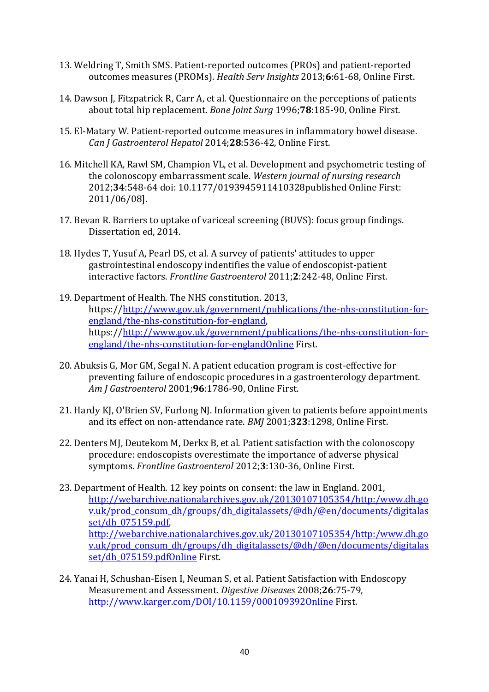- <span id="page-39-11"></span>13. Weldring T, Smith SMS. Patient-reported outcomes (PROs) and patient-reported outcomes measures (PROMs). *Health Serv Insights* 2013;**6**:61-68, Online First.
- <span id="page-39-0"></span>14. Dawson J, Fitzpatrick R, Carr A, et al. Questionnaire on the perceptions of patients about total hip replacement. *Bone Joint Surg* 1996;**78**:185-90, Online First.
- <span id="page-39-1"></span>15. El-Matary W. Patient-reported outcome measures in inflammatory bowel disease. *Can J Gastroenterol Hepatol* 2014;**28**:536-42, Online First.
- <span id="page-39-2"></span>16. Mitchell KA, Rawl SM, Champion VL, et al. Development and psychometric testing of the colonoscopy embarrassment scale. *Western journal of nursing research* 2012;**34**:548-64 doi: 10.1177/0193945911410328published Online First: 2011/06/08].
- <span id="page-39-3"></span>17. Bevan R. Barriers to uptake of variceal screening (BUVS): focus group findings. Dissertation ed, 2014.
- <span id="page-39-4"></span>18. Hydes T, Yusuf A, Pearl DS, et al. A survey of patients' attitudes to upper gastrointestinal endoscopy indentifies the value of endoscopist-patient interactive factors. *Frontline Gastroenterol* 2011;**2**:242-48, Online First.
- <span id="page-39-5"></span>19. Department of Health. The NHS constitution. 2013, https:/[/http://www.gov.uk/government/publications/the-nhs-constitution-for](http://www.gov.uk/government/publications/the-nhs-constitution-for-england/the-nhs-constitution-for-england)[england/the-nhs-constitution-for-england,](http://www.gov.uk/government/publications/the-nhs-constitution-for-england/the-nhs-constitution-for-england) https:/[/http://www.gov.uk/government/publications/the-nhs-constitution-for](http://www.gov.uk/government/publications/the-nhs-constitution-for-england/the-nhs-constitution-for-englandOnline)[england/the-nhs-constitution-for-englandOnline](http://www.gov.uk/government/publications/the-nhs-constitution-for-england/the-nhs-constitution-for-englandOnline) First.
- <span id="page-39-6"></span>20. Abuksis G, Mor GM, Segal N. A patient education program is cost-effective for preventing failure of endoscopic procedures in a gastroenterology department. *Am J Gastroenterol* 2001;**96**:1786-90, Online First.
- <span id="page-39-7"></span>21. Hardy KJ, O'Brien SV, Furlong NJ. Information given to patients before appointments and its effect on non-attendance rate. *BMJ* 2001;**323**:1298, Online First.
- <span id="page-39-8"></span>22. Denters MJ, Deutekom M, Derkx B, et al. Patient satisfaction with the colonoscopy procedure: endoscopists overestimate the importance of adverse physical symptoms. *Frontline Gastroenterol* 2012;**3**:130-36, Online First.
- <span id="page-39-9"></span>23. Department of Health. 12 key points on consent: the law in England. 2001, [http://webarchive.nationalarchives.gov.uk/20130107105354/http:/www.dh.go](http://webarchive.nationalarchives.gov.uk/20130107105354/http:/www.dh.gov.uk/prod_consum_dh/groups/dh_digitalassets/@dh/@en/documents/digitalasset/dh_075159.pdf) [v.uk/prod\\_consum\\_dh/groups/dh\\_digitalassets/@dh/@en/documents/digitalas](http://webarchive.nationalarchives.gov.uk/20130107105354/http:/www.dh.gov.uk/prod_consum_dh/groups/dh_digitalassets/@dh/@en/documents/digitalasset/dh_075159.pdf) [set/dh\\_075159.pdf,](http://webarchive.nationalarchives.gov.uk/20130107105354/http:/www.dh.gov.uk/prod_consum_dh/groups/dh_digitalassets/@dh/@en/documents/digitalasset/dh_075159.pdf) [http://webarchive.nationalarchives.gov.uk/20130107105354/http:/www.dh.go](http://webarchive.nationalarchives.gov.uk/20130107105354/http:/www.dh.gov.uk/prod_consum_dh/groups/dh_digitalassets/@dh/@en/documents/digitalasset/dh_075159.pdfOnline) [v.uk/prod\\_consum\\_dh/groups/dh\\_digitalassets/@dh/@en/documents/digitalas](http://webarchive.nationalarchives.gov.uk/20130107105354/http:/www.dh.gov.uk/prod_consum_dh/groups/dh_digitalassets/@dh/@en/documents/digitalasset/dh_075159.pdfOnline) [set/dh\\_075159.pdfOnline](http://webarchive.nationalarchives.gov.uk/20130107105354/http:/www.dh.gov.uk/prod_consum_dh/groups/dh_digitalassets/@dh/@en/documents/digitalasset/dh_075159.pdfOnline) First.
- <span id="page-39-10"></span>24. Yanai H, Schushan-Eisen I, Neuman S, et al. Patient Satisfaction with Endoscopy Measurement and Assessment. *Digestive Diseases* 2008;**26**:75-79, <http://www.karger.com/DOI/10.1159/000109392Online> First.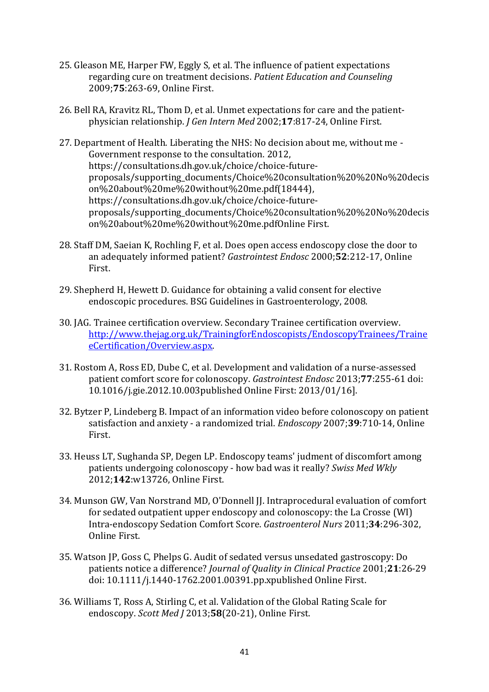- <span id="page-40-8"></span>25. Gleason ME, Harper FW, Eggly S, et al. The influence of patient expectations regarding cure on treatment decisions. *Patient Education and Counseling* 2009;**75**:263-69, Online First.
- <span id="page-40-0"></span>26. Bell RA, Kravitz RL, Thom D, et al. Unmet expectations for care and the patientphysician relationship. *J Gen Intern Med* 2002;**17**:817-24, Online First.
- <span id="page-40-1"></span>27. Department of Health. Liberating the NHS: No decision about me, without me - Government response to the consultation. 2012, https://consultations.dh.gov.uk/choice/choice-futureproposals/supporting\_documents/Choice%20consultation%20%20No%20decis on%20about%20me%20without%20me.pdf(18444), https://consultations.dh.gov.uk/choice/choice-futureproposals/supporting\_documents/Choice%20consultation%20%20No%20decis on%20about%20me%20without%20me.pdfOnline First.
- <span id="page-40-2"></span>28. Staff DM, Saeian K, Rochling F, et al. Does open access endoscopy close the door to an adequately informed patient? *Gastrointest Endosc* 2000;**52**:212-17, Online First.
- <span id="page-40-3"></span>29. Shepherd H, Hewett D. Guidance for obtaining a valid consent for elective endoscopic procedures. BSG Guidelines in Gastroenterology, 2008.
- <span id="page-40-4"></span>30. JAG. Trainee certification overview. Secondary Trainee certification overview. [http://www.thejag.org.uk/TrainingforEndoscopists/EndoscopyTrainees/Traine](http://www.thejag.org.uk/TrainingforEndoscopists/EndoscopyTrainees/TraineeCertification/Overview.aspx) [eCertification/Overview.aspx.](http://www.thejag.org.uk/TrainingforEndoscopists/EndoscopyTrainees/TraineeCertification/Overview.aspx)
- <span id="page-40-5"></span>31. Rostom A, Ross ED, Dube C, et al. Development and validation of a nurse-assessed patient comfort score for colonoscopy. *Gastrointest Endosc* 2013;**77**:255-61 doi: 10.1016/j.gie.2012.10.003published Online First: 2013/01/16].
- <span id="page-40-6"></span>32. Bytzer P, Lindeberg B. Impact of an information video before colonoscopy on patient satisfaction and anxiety - a randomized trial. *Endoscopy* 2007;**39**:710-14, Online First.
- 33. Heuss LT, Sughanda SP, Degen LP. Endoscopy teams' judment of discomfort among patients undergoing colonoscopy - how bad was it really? *Swiss Med Wkly* 2012;**142**:w13726, Online First.
- 34. Munson GW, Van Norstrand MD, O'Donnell JJ. Intraprocedural evaluation of comfort for sedated outpatient upper endoscopy and colonoscopy: the La Crosse (WI) Intra-endoscopy Sedation Comfort Score. *Gastroenterol Nurs* 2011;**34**:296-302, Online First.
- <span id="page-40-9"></span>35. Watson JP, Goss C, Phelps G. Audit of sedated versus unsedated gastroscopy: Do patients notice a difference? *Journal of Quality in Clinical Practice* 2001;**21**:26-29 doi: 10.1111/j.1440-1762.2001.00391.pp.xpublished Online First.
- <span id="page-40-7"></span>36. Williams T, Ross A, Stirling C, et al. Validation of the Global Rating Scale for endoscopy. *Scott Med J* 2013;**58**(20-21), Online First.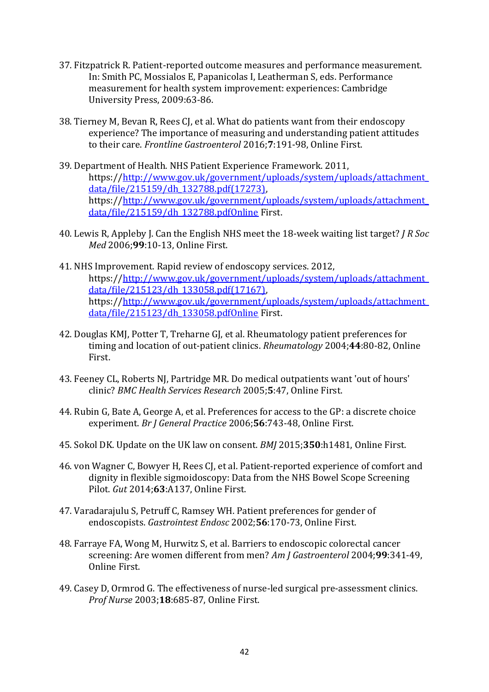- <span id="page-41-12"></span>37. Fitzpatrick R. Patient-reported outcome measures and performance measurement. In: Smith PC, Mossialos E, Papanicolas I, Leatherman S, eds. Performance measurement for health system improvement: experiences: Cambridge University Press, 2009:63-86.
- <span id="page-41-0"></span>38. Tierney M, Bevan R, Rees CJ, et al. What do patients want from their endoscopy experience? The importance of measuring and understanding patient attitudes to their care. *Frontline Gastroenterol* 2016;**7**:191-98, Online First.
- <span id="page-41-1"></span>39. Department of Health. NHS Patient Experience Framework. 2011, https:/[/http://www.gov.uk/government/uploads/system/uploads/attachment\\_](http://www.gov.uk/government/uploads/system/uploads/attachment_data/file/215159/dh_132788.pdf(17273)) [data/file/215159/dh\\_132788.pdf\(17273\),](http://www.gov.uk/government/uploads/system/uploads/attachment_data/file/215159/dh_132788.pdf(17273))  https:/[/http://www.gov.uk/government/uploads/system/uploads/attachment\\_](http://www.gov.uk/government/uploads/system/uploads/attachment_data/file/215159/dh_132788.pdfOnline) [data/file/215159/dh\\_132788.pdfOnline](http://www.gov.uk/government/uploads/system/uploads/attachment_data/file/215159/dh_132788.pdfOnline) First.
- <span id="page-41-2"></span>40. Lewis R, Appleby J. Can the English NHS meet the 18-week waiting list target? *J R Soc Med* 2006;**99**:10-13, Online First.
- <span id="page-41-3"></span>41. NHS Improvement. Rapid review of endoscopy services. 2012, https:/[/http://www.gov.uk/government/uploads/system/uploads/attachment\\_](http://www.gov.uk/government/uploads/system/uploads/attachment_data/file/215123/dh_133058.pdf(17167)) [data/file/215123/dh\\_133058.pdf\(17167\),](http://www.gov.uk/government/uploads/system/uploads/attachment_data/file/215123/dh_133058.pdf(17167))  https:/[/http://www.gov.uk/government/uploads/system/uploads/attachment\\_](http://www.gov.uk/government/uploads/system/uploads/attachment_data/file/215123/dh_133058.pdfOnline) [data/file/215123/dh\\_133058.pdfOnline](http://www.gov.uk/government/uploads/system/uploads/attachment_data/file/215123/dh_133058.pdfOnline) First.
- <span id="page-41-4"></span>42. Douglas KMJ, Potter T, Treharne GJ, et al. Rheumatology patient preferences for timing and location of out-patient clinics. *Rheumatology* 2004;**44**:80-82, Online First.
- <span id="page-41-5"></span>43. Feeney CL, Roberts NJ, Partridge MR. Do medical outpatients want 'out of hours' clinic? *BMC Health Services Research* 2005;**5**:47, Online First.
- <span id="page-41-6"></span>44. Rubin G, Bate A, George A, et al. Preferences for access to the GP: a discrete choice experiment. *Br J General Practice* 2006;**56**:743-48, Online First.
- <span id="page-41-8"></span><span id="page-41-7"></span>45. Sokol DK. Update on the UK law on consent. *BMJ* 2015;**350**:h1481, Online First.
- 46. von Wagner C, Bowyer H, Rees CJ, et al. Patient-reported experience of comfort and dignity in flexible sigmoidoscopy: Data from the NHS Bowel Scope Screening Pilot. *Gut* 2014;**63**:A137, Online First.
- <span id="page-41-9"></span>47. Varadarajulu S, Petruff C, Ramsey WH. Patient preferences for gender of endoscopists. *Gastrointest Endosc* 2002;**56**:170-73, Online First.
- <span id="page-41-10"></span>48. Farraye FA, Wong M, Hurwitz S, et al. Barriers to endoscopic colorectal cancer screening: Are women different from men? *Am J Gastroenterol* 2004;**99**:341-49, Online First.
- <span id="page-41-11"></span>49. Casey D, Ormrod G. The effectiveness of nurse-led surgical pre-assessment clinics. *Prof Nurse* 2003;**18**:685-87, Online First.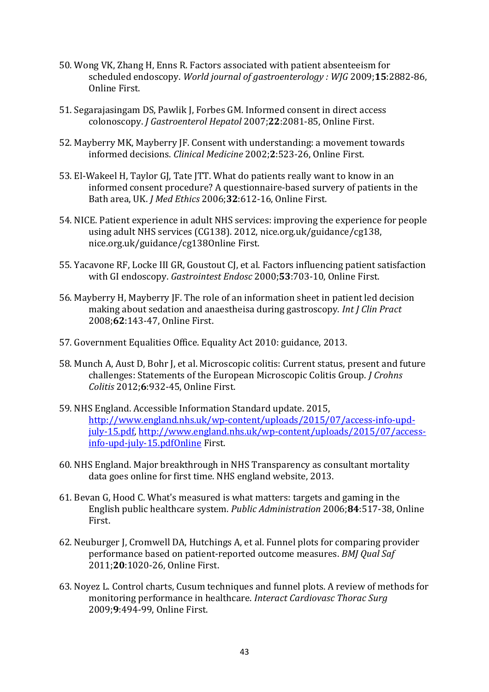- 50. Wong VK, Zhang H, Enns R. Factors associated with patient absenteeism for scheduled endoscopy. *World journal of gastroenterology : WJG* 2009;**15**:2882-86, Online First.
- <span id="page-42-0"></span>51. Segarajasingam DS, Pawlik J, Forbes GM. Informed consent in direct access colonoscopy. *J Gastroenterol Hepatol* 2007;**22**:2081-85, Online First.
- <span id="page-42-1"></span>52. Mayberry MK, Mayberry JF. Consent with understanding: a movement towards informed decisions. *Clinical Medicine* 2002;**2**:523-26, Online First.
- <span id="page-42-2"></span>53. El-Wakeel H, Taylor GJ, Tate JTT. What do patients really want to know in an informed consent procedure? A questionnaire-based survery of patients in the Bath area, UK. *J Med Ethics* 2006;**32**:612-16, Online First.
- <span id="page-42-3"></span>54. NICE. Patient experience in adult NHS services: improving the experience for people using adult NHS services (CG138). 2012, nice.org.uk/guidance/cg138, nice.org.uk/guidance/cg138Online First.
- <span id="page-42-4"></span>55. Yacavone RF, Locke III GR, Goustout CJ, et al. Factors influencing patient satisfaction with GI endoscopy. *Gastrointest Endosc* 2000;**53**:703-10, Online First.
- <span id="page-42-5"></span>56. Mayberry H, Mayberry JF. The role of an information sheet in patient led decision making about sedation and anaestheisa during gastroscopy. *Int J Clin Pract* 2008;**62**:143-47, Online First.
- <span id="page-42-6"></span>57. Government Equalities Office. Equality Act 2010: guidance, 2013.
- <span id="page-42-7"></span>58. Munch A, Aust D, Bohr J, et al. Microscopic colitis: Current status, present and future challenges: Statements of the European Microscopic Colitis Group. *J Crohns Colitis* 2012;**6**:932-45, Online First.
- <span id="page-42-8"></span>59. NHS England. Accessible Information Standard update. 2015, [http://www.england.nhs.uk/wp-content/uploads/2015/07/access-info-upd](http://www.england.nhs.uk/wp-content/uploads/2015/07/access-info-upd-july-15.pdf)[july-15.pdf,](http://www.england.nhs.uk/wp-content/uploads/2015/07/access-info-upd-july-15.pdf) [http://www.england.nhs.uk/wp-content/uploads/2015/07/access](http://www.england.nhs.uk/wp-content/uploads/2015/07/access-info-upd-july-15.pdfOnline)[info-upd-july-15.pdfOnline](http://www.england.nhs.uk/wp-content/uploads/2015/07/access-info-upd-july-15.pdfOnline) First.
- <span id="page-42-9"></span>60. NHS England. Major breakthrough in NHS Transparency as consultant mortality data goes online for first time. NHS england website, 2013.
- <span id="page-42-10"></span>61. Bevan G, Hood C. What's measured is what matters: targets and gaming in the English public healthcare system. *Public Administration* 2006;**84**:517-38, Online First.
- <span id="page-42-11"></span>62. Neuburger J, Cromwell DA, Hutchings A, et al. Funnel plots for comparing provider performance based on patient-reported outcome measures. *BMJ Qual Saf* 2011;**20**:1020-26, Online First.
- 63. Noyez L. Control charts, Cusum techniques and funnel plots. A review of methods for monitoring performance in healthcare. *Interact Cardiovasc Thorac Surg* 2009;**9**:494-99, Online First.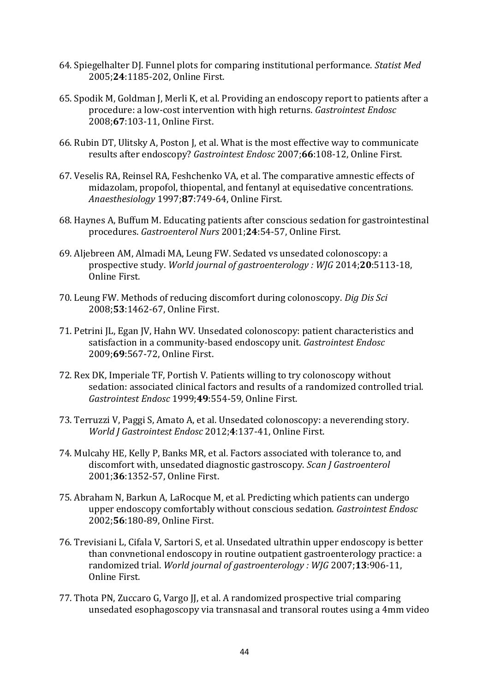- 64. Spiegelhalter DJ. Funnel plots for comparing institutional performance. *Statist Med* 2005;**24**:1185-202, Online First.
- <span id="page-43-0"></span>65. Spodik M, Goldman J, Merli K, et al. Providing an endoscopy report to patients after a procedure: a low-cost intervention with high returns. *Gastrointest Endosc* 2008;**67**:103-11, Online First.
- <span id="page-43-1"></span>66. Rubin DT, Ulitsky A, Poston J, et al. What is the most effective way to communicate results after endoscopy? *Gastrointest Endosc* 2007;**66**:108-12, Online First.
- <span id="page-43-2"></span>67. Veselis RA, Reinsel RA, Feshchenko VA, et al. The comparative amnestic effects of midazolam, propofol, thiopental, and fentanyl at equisedative concentrations. *Anaesthesiology* 1997;**87**:749-64, Online First.
- <span id="page-43-3"></span>68. Haynes A, Buffum M. Educating patients after conscious sedation for gastrointestinal procedures. *Gastroenterol Nurs* 2001;**24**:54-57, Online First.
- <span id="page-43-4"></span>69. Aljebreen AM, Almadi MA, Leung FW. Sedated vs unsedated colonoscopy: a prospective study. *World journal of gastroenterology : WJG* 2014;**20**:5113-18, Online First.
- 70. Leung FW. Methods of reducing discomfort during colonoscopy. *Dig Dis Sci* 2008;**53**:1462-67, Online First.
- 71. Petrini JL, Egan JV, Hahn WV. Unsedated colonoscopy: patient characteristics and satisfaction in a community-based endoscopy unit. *Gastrointest Endosc* 2009;**69**:567-72, Online First.
- 72. Rex DK, Imperiale TF, Portish V. Patients willing to try colonoscopy without sedation: associated clinical factors and results of a randomized controlled trial. *Gastrointest Endosc* 1999;**49**:554-59, Online First.
- 73. Terruzzi V, Paggi S, Amato A, et al. Unsedated colonoscopy: a neverending story. *World J Gastrointest Endosc* 2012;**4**:137-41, Online First.
- <span id="page-43-5"></span>74. Mulcahy HE, Kelly P, Banks MR, et al. Factors associated with tolerance to, and discomfort with, unsedated diagnostic gastroscopy. *Scan J Gastroenterol* 2001;**36**:1352-57, Online First.
- <span id="page-43-6"></span>75. Abraham N, Barkun A, LaRocque M, et al. Predicting which patients can undergo upper endoscopy comfortably without conscious sedation. *Gastrointest Endosc* 2002;**56**:180-89, Online First.
- <span id="page-43-7"></span>76. Trevisiani L, Cifala V, Sartori S, et al. Unsedated ultrathin upper endoscopy is better than convnetional endoscopy in routine outpatient gastroenterology practice: a randomized trial. *World journal of gastroenterology : WJG* 2007;**13**:906-11, Online First.
- 77. Thota PN, Zuccaro G, Vargo JJ, et al. A randomized prospective trial comparing unsedated esophagoscopy via transnasal and transoral routes using a 4mm video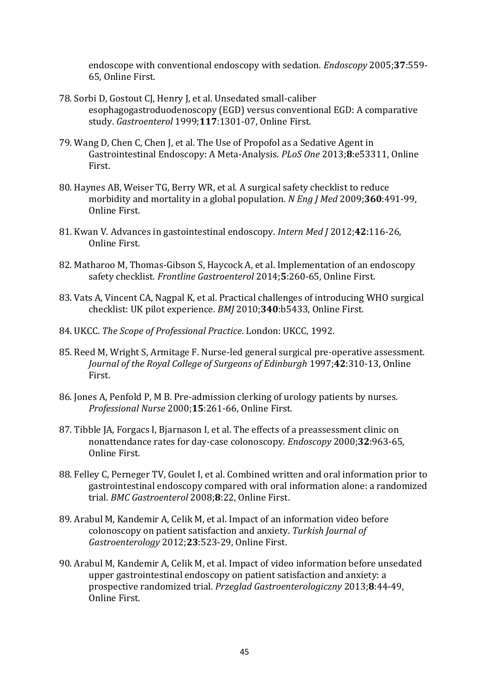<span id="page-44-12"></span>endoscope with conventional endoscopy with sedation. *Endoscopy* 2005;**37**:559- 65, Online First.

- 78. Sorbi D, Gostout CJ, Henry J, et al. Unsedated small-caliber esophagogastroduodenoscopy (EGD) versus conventional EGD: A comparative study. *Gastroenterol* 1999;**117**:1301-07, Online First.
- <span id="page-44-0"></span>79. Wang D, Chen C, Chen J, et al. The Use of Propofol as a Sedative Agent in Gastrointestinal Endoscopy: A Meta-Analysis. *PLoS One* 2013;**8**:e53311, Online First.
- <span id="page-44-1"></span>80. Haynes AB, Weiser TG, Berry WR, et al. A surgical safety checklist to reduce morbidity and mortality in a global population. *N Eng J Med* 2009;**360**:491-99, Online First.
- <span id="page-44-2"></span>81. Kwan V. Advances in gastointestinal endoscopy. *Intern Med J* 2012;**42**:116-26, Online First.
- <span id="page-44-3"></span>82. Matharoo M, Thomas-Gibson S, Haycock A, et al. Implementation of an endoscopy safety checklist. *Frontline Gastroenterol* 2014;**5**:260-65, Online First.
- <span id="page-44-4"></span>83. Vats A, Vincent CA, Nagpal K, et al. Practical challenges of introducing WHO surgical checklist: UK pilot experience. *BMJ* 2010;**340**:b5433, Online First.
- <span id="page-44-5"></span>84. UKCC. *The Scope of Professional Practice*. London: UKCC, 1992.
- <span id="page-44-6"></span>85. Reed M, Wright S, Armitage F. Nurse-led general surgical pre-operative assessment. *Journal of the Royal College of Surgeons of Edinburgh* 1997;**42**:310-13, Online First.
- <span id="page-44-7"></span>86. Jones A, Penfold P, M B. Pre-admission clerking of urology patients by nurses. *Professional Nurse* 2000;**15**:261-66, Online First.
- <span id="page-44-8"></span>87. Tibble JA, Forgacs I, Bjarnason I, et al. The effects of a preassessment clinic on nonattendance rates for day-case colonoscopy. *Endoscopy* 2000;**32**:963-65, Online First.
- <span id="page-44-9"></span>88. Felley C, Perneger TV, Goulet I, et al. Combined written and oral information prior to gastrointestinal endoscopy compared with oral information alone: a randomized trial. *BMC Gastroenterol* 2008;**8**:22, Online First.
- <span id="page-44-10"></span>89. Arabul M, Kandemir A, Celik M, et al. Impact of an information video before colonoscopy on patient satisfaction and anxiety. *Turkish Journal of Gastroenterology* 2012;**23**:523-29, Online First.
- <span id="page-44-11"></span>90. Arabul M, Kandemir A, Celik M, et al. Impact of video information before unsedated upper gastrointestinal endoscopy on patient satisfaction and anxiety: a prospective randomized trial. *Przeglad Gastroenterologiczny* 2013;**8**:44-49, Online First.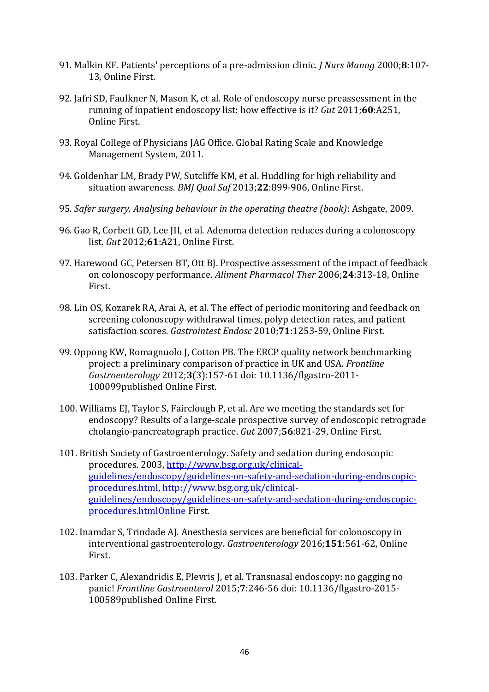- <span id="page-45-12"></span>91. Malkin KF. Patients' perceptions of a pre-admission clinic. *J Nurs Manag* 2000;**8**:107- 13, Online First.
- <span id="page-45-0"></span>92. Jafri SD, Faulkner N, Mason K, et al. Role of endoscopy nurse preassessment in the running of inpatient endoscopy list: how effective is it? *Gut* 2011;**60**:A251, Online First.
- <span id="page-45-1"></span>93. Royal College of Physicians JAG Office. Global Rating Scale and Knowledge Management System, 2011.
- <span id="page-45-2"></span>94. Goldenhar LM, Brady PW, Sutcliffe KM, et al. Huddling for high reliability and situation awareness. *BMJ Qual Saf* 2013;**22**:899-906, Online First.
- <span id="page-45-3"></span>95. *Safer surgery. Analysing behaviour in the operating theatre (book)*: Ashgate, 2009.
- <span id="page-45-4"></span>96. Gao R, Corbett GD, Lee JH, et al. Adenoma detection reduces during a colonoscopy list. *Gut* 2012;**61**:A21, Online First.
- <span id="page-45-5"></span>97. Harewood GC, Petersen BT, Ott BJ. Prospective assessment of the impact of feedback on colonoscopy performance. *Aliment Pharmacol Ther* 2006;**24**:313-18, Online First.
- <span id="page-45-6"></span>98. Lin OS, Kozarek RA, Arai A, et al. The effect of periodic monitoring and feedback on screening colonoscopy withdrawal times, polyp detection rates, and patient satisfaction scores. *Gastrointest Endosc* 2010;**71**:1253-59, Online First.
- <span id="page-45-7"></span>99. Oppong KW, Romagnuolo J, Cotton PB. The ERCP quality network benchmarking project: a preliminary comparison of practice in UK and USA. *Frontline Gastroenterology* 2012;**3**(3):157-61 doi: 10.1136/flgastro-2011- 100099published Online First.
- <span id="page-45-8"></span>100. Williams EJ, Taylor S, Fairclough P, et al. Are we meeting the standards set for endoscopy? Results of a large-scale prospective survey of endoscopic retrograde cholangio-pancreatograph practice. *Gut* 2007;**56**:821-29, Online First.
- <span id="page-45-9"></span>101. British Society of Gastroenterology. Safety and sedation during endoscopic procedures. 2003, [http://www.bsg.org.uk/clinical](http://www.bsg.org.uk/clinical-guidelines/endoscopy/guidelines-on-safety-and-sedation-during-endoscopic-procedures.html)[guidelines/endoscopy/guidelines-on-safety-and-sedation-during-endoscopic](http://www.bsg.org.uk/clinical-guidelines/endoscopy/guidelines-on-safety-and-sedation-during-endoscopic-procedures.html)[procedures.html,](http://www.bsg.org.uk/clinical-guidelines/endoscopy/guidelines-on-safety-and-sedation-during-endoscopic-procedures.html) [http://www.bsg.org.uk/clinical](http://www.bsg.org.uk/clinical-guidelines/endoscopy/guidelines-on-safety-and-sedation-during-endoscopic-procedures.htmlOnline)[guidelines/endoscopy/guidelines-on-safety-and-sedation-during-endoscopic](http://www.bsg.org.uk/clinical-guidelines/endoscopy/guidelines-on-safety-and-sedation-during-endoscopic-procedures.htmlOnline)[procedures.htmlOnline](http://www.bsg.org.uk/clinical-guidelines/endoscopy/guidelines-on-safety-and-sedation-during-endoscopic-procedures.htmlOnline) First.
- <span id="page-45-10"></span>102. Inamdar S, Trindade AJ. Anesthesia services are beneficial for colonoscopy in interventional gastroenterology. *Gastroenterology* 2016;**151**:561-62, Online First.
- <span id="page-45-11"></span>103. Parker C, Alexandridis E, Plevris J, et al. Transnasal endoscopy: no gagging no panic! *Frontline Gastroenterol* 2015;**7**:246-56 doi: 10.1136/flgastro-2015- 100589published Online First.